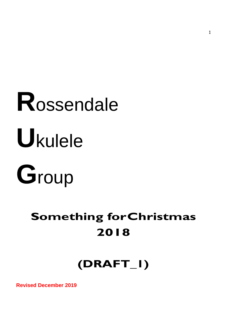# **R**ossendale **U**kulele



# **Something forChristmas 2018**

# **(DRAFT\_1)**

**Revised December 2019**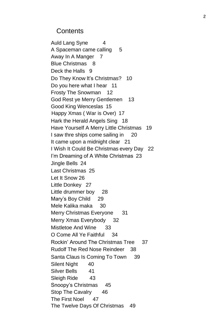#### **Contents**

Auld Lang Syne 4 A Spaceman came calling 5 Away In A Manger 7 Blue Christmas 8 Deck the Halls 9 Do They Know It's Christmas? 10 Do you here what I hear 11 Frosty The Snowman 12 God Rest ye Merry Gentlemen 13 Good King Wenceslas 15 Happy Xmas ( War is Over) 17 Hark the Herald Angels Sing 18 Have Yourself A Merry Little Christmas 19 I saw thre ships come sailing in 20 It came upon a midnight clear 21 I Wish It Could Be Christmas every Day 22 I'm Dreaming of A White Christmas 23 Jingle Bells 24 Last Christmas 25 Let It Snow 26 Little Donkey 27 Little drummer boy 28 Mary's Boy Child 29 Mele Kalika maka 30 Merry Christmas Everyone 31 Merry Xmas Everybody 32 Mistletoe And Wine 33 O Come All Ye Faithful 34 Rockin' Around The Christmas Tree 37 Rudolf The Red Nose Reindeer 38 Santa Claus Is Coming To Town 39 Silent Night 40 Silver Bells 41 Sleigh Ride 43 Snoopy's Christmas 45 Stop The Cavalry 46 The First Noel 47 The Twelve Days Of Christmas 49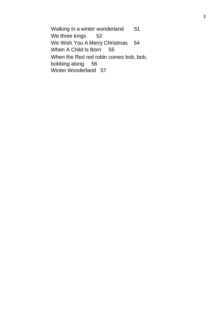Walking in a winter wonderland 51 We three kings 52 We Wish You A Merry Christmas 54 When A Child Is Born 55 When the Red red robin comes bob, bob, bobbing along 56 Winter Wonderland 57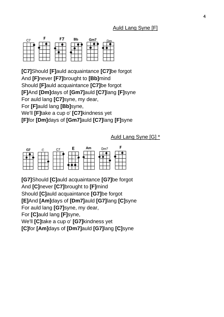### Auld Lang Syne [F]



**[C7]**Should **[F]**auld acquaintance **[C7]**be forgot And **[F]**never **[F7]**brought to **[Bb]**mind Should **[F]**auld acquaintance **[C7]**be forgot **[F]**And **[Dm]**days of **[Gm7]**auld **[C7]**lang **[F]**syne For auld lang **[C7]**syne, my dear, For **[F]**auld lang **[Bb]**syne, We'll **[F]**take a cup o' **[C7]**kindness yet **[F]**for **[Dm]**days of **[Gm7]**auld **[C7]**lang **[F]**syne

Auld Lang Syne [G] \*

| G7                 |                                                     |                                       |                                        | Αm                                       | Dm'                       |                |
|--------------------|-----------------------------------------------------|---------------------------------------|----------------------------------------|------------------------------------------|---------------------------|----------------|
|                    |                                                     |                                       |                                        |                                          |                           |                |
|                    | œ                                                   |                                       |                                        |                                          |                           |                |
| $\sim$<br>--<br>70 | The Second Second<br>$\overline{\phantom{a}}$<br>-- | The property of the property<br>- 404 | and the contract<br><b>STATE</b><br>-- | $\overline{\phantom{a}}$<br>--<br>$\sim$ | <b>STATISTICS</b><br>- 55 | and the<br>n e |

**[G7]**Should **[C]**auld acquaintance **[G7]**be forgot And **[C]**never **[C7]**brought to **[F]**mind Should **[C]**auld acquaintance **[G7]**be forgot **[E]**And **[Am]**days of **[Dm7]**auld **[G7]**lang **[C]**syne

For auld lang **[G7]**syne, my dear,

For **[C]**auld lang **[F]**syne,

We'll **[C]**take a cup o' **[G7]**kindness yet

**[C]**for **[Am]**days of **[Dm7]**auld **[G7]**lang **[C]**syne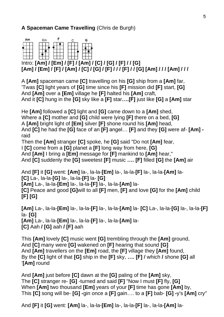# **A Spaceman Came Travelling** (Chris de Burgh)



# Intro: **[Am] / [Em] / [F] / [Am] / [C] / [G] / [F] / / [G] [Am] / [Em] / [F] / [Am] / [C] / [G] / [F] / / / [F] / / [G] [Am] / / / [Am] / / /**

A **[Am]** spaceman came **[C]** travelling on his **[G]** ship from a **[Am]** far, 'Twas **[C]** light years of **[G]** time since his **[F]** mission did **[F]** start, **[G]**  And **[Am]** over a **[Em]** village he **[F]** halted his **[Am]** craft, And it **[C]** hung in the **[G]** sky like a **[F]** star**….[F]** just like **[G]** a **[Am]** star

He **[Am]** followed a **[C]** light and **[G]** came down to a **[Am]** shed, Where a **[C]** mother and **[G]** child were lying **[F]** there on a bed, **[G]**  A **[Am]** bright light of **[Em]** silver **[F]** shone round his **[Am]** head, And **[C]** he had the **[G]** face of an **[F]** angel… **[F]** and they **[G]** were af- **[Am]**  raid

Then the **[Am]** stranger **[C]** spoke, he **[G]** said "Do not **[Am]** fear,

I **[C]** come from a **[G]** planet a **[F]** long way from here, **[G]**

And **[Am]** I bring a **[Em]** message for **[F]** mankind to **[Am]** hear,"

And **[C]** suddenly the **[G]** sweetest **[F]** music **…. [F]** filled **[G]** the **[Am]** air

And **[F]** it **[G]** went: **[Am]** la-, la-la-**[Em]** la-, la-la-**[F]** la-, la-la-**[Am]** la- **[C]** La-, la-la-**[G]** la-, la-la-**[F]** la- **[G] [Am]** La-, la-la-**[Em]** la-, la-la-**[F]** la-, la-la-**[Am]** la-

**[C]** Peace and good **[G]**will to all **[F]** men, **[F]** and love **[G]** for the **[Am]** child **[F] [G]**

**[Am]** La-, la-la-**[Em]** la-, la-la-**[F]** la-, la-la-**[Am]** la- **[C]** La-, la-la-**[G]** la-, la-la-**[F]**  la- **[G] [Am]** La-, la-la-**[Em]** la-, la-la-**[F]** la-, la-la-**[Am]** la- **[C]** Aah **/ [G]** aah **/ [F]** aah

This **[Am]** lovely **[C]** music went **[G]** trembling through the **[Am]** ground, And **[C]** many were **[G]** wakened on **[F]** hearing that sound **[G]** And **[Am]** travellers on the **[Em]** road, the **[F]** village they **[Am]** found, By the **[C]** light of that **[G]** ship in the **[F]** sky, **…. [F] /** which **/** shone **[G]** all '**[Am]** round

And **[Am]** just before **[C]** dawn at the **[G]** paling of the **[Am]** sky, The **[C]** stranger re- **[G]** -turned and said **[F]** "Now I must **[F]** fly, **[G]** When **[Am]** two thousand **[Em]** years of your **[F]** time has gone **[Am]** by, This **[C]** song will be- **[G] -**gin once a **[F]** gain…. to a **[F]** bab- **[G] -**y's **[Am]** cry"

And **[F]** it **[G]** went: **[Am]** la-, la-la-**[Em]** la-, la-la-**[F]** la-, la-la-**[Am]** la-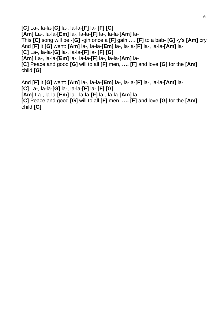**[C]** La-, la-la-**[G]** la-, la-la-**[F]** la- **[F] [G]**

**[Am]** La-, la-la-**[Em]** la-, la-la-**[F]** la-, la-la-**[Am]** la-

This **[C]** song will be -**[G] -**gin once a **[F]** gain …. **[F]** to a bab- **[G] -**y's **[Am]** cry And **[F]** it **[G]** went: **[Am]** la-, la-la-**[Em]** la-, la-la-**[F]** la-, la-la-**[Am]** la-

**[C]** La-, la-la-**[G]** la-, la-la-**[F]** la- **[F] [G]**

**[Am]** La-, la-la-**[Em]** la-, la-la-**[F]** la-, la-la-**[Am]** la- **[C]** Peace and good **[G]** will to all **[F]** men, **…. [F]** and love **[G]** for the **[Am]**

child **[G]**

And **[F]** it **[G]** went: **[Am]** la-, la-la-**[Em]** la-, la-la-**[F]** la-, la-la-**[Am]** la- **[C]** La-, la-la-**[G]** la-, la-la-**[F]** la- **[F] [G] [Am]** La-, la-la-**[Em]** la-, la-la-**[F]** la-, la-la-**[Am]** la-

**[C]** Peace and good **[G]** will to all **[F]** men, **…. [F]** and love **[G]** for the **[Am]** child **[G]**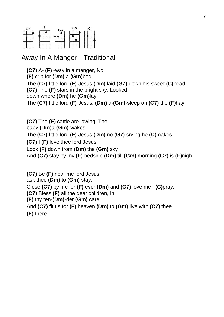| C                                 |              |                              | Gm                                                       |                                                            |
|-----------------------------------|--------------|------------------------------|----------------------------------------------------------|------------------------------------------------------------|
|                                   |              |                              |                                                          |                                                            |
|                                   |              |                              |                                                          |                                                            |
| <b>Second</b><br>$\sim$<br>☜<br>œ | <b>STATE</b> | The Control of the Con-<br>m | <b>Second</b><br>$\overline{\phantom{a}}$<br>$\sim$<br>☜ | <b>Service</b><br>$\sim$<br>$\overline{\phantom{a}}$<br>÷. |

# Away In A Manger—Traditional

**(C7)** A- **(F)** -way in a manger, No **(F)** crib for **(Dm)** a **(Gm)**bed, The **(C7)** little lord **(F)** Jesus **(Dm)** laid **(G7)** down his sweet **(C)**head. **(C7)** The **(F)** stars in the bright sky, Looked down where **(Dm)** he **(Gm)**lay, The **(C7)** little lord **(F)** Jesus, **(Dm)** a-**(Gm)**-sleep on **(C7)** the **(F)**hay.

**(C7)** The **(F)** cattle are lowing, The

baby **(Dm)**a-**(Gm)**-wakes,

The **(C7)** little lord **(F)** Jesus **(Dm)** no **(G7)** crying he **(C)**makes.

**(C7)** I **(F)** love thee lord Jesus,

Look **(F)** down from **(Dm)** the **(Gm)** sky

And **(C7)** stay by my **(F)** bedside **(Dm)** till **(Gm)** morning **(C7)** is **(F)**nigh.

**(C7)** Be **(F)** near me lord Jesus, I ask thee **(Dm)** to **(Gm)** stay, Close **(C7)** by me for **(F)** ever **(Dm)** and **(G7)** love me I **(C)**pray. **(C7)** Bless **(F)** all the dear children, In **(F)** thy ten-**(Dm)**-der **(Gm)** care, And **(C7)** fit us for **(F)** heaven **(Dm)** to **(Gm)** live with **(C7)** thee **(F)** there.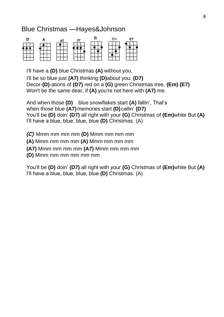# Blue Christmas —Hayes&Johnson



I'll have a **(D)** blue Christmas **(A)** without you,

I'll be so blue just **(A7)** thinking **(D)**about you. **(D7)** Decor-**(D)**-ations of **(D7)** red on a **(G)** green Christmas tree, **(Em) (E7)** Won't be the same dear, if **(A)** you're not here with **(A7)** me.

And when those **(D)** blue snowflakes start **(A)** fallin', That's when those blue **(A7)**memories start **(D)**callin' **(D7)** You'll be **(D)** doin' **(D7)** all right with your **(G)** Christmas of **(Em)**white But **(A)** I'll have a blue, blue, blue, blue **(D)** Christmas. (A)

*(C)* Mmm mm mm mm **(D)** Mmm mm mm mm

**(A)** Mmm mm mm mm **(A)** Mmm mm mm mm

**(A7)** Mmm mm mm mm **(A7)** Mmm mm mm mm

**(D)** Mmm mm mm mm mm mm

You'll be **(D)** doin' **(D7)** all right with your **(G)** Christmas of **(Em)**white But **(A)** I'll have a blue, blue, blue, blue **(D)** Christmas. (A)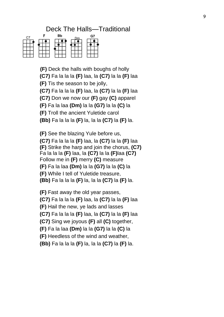# Deck The Halls—Traditional



**(F)** Deck the halls with boughs of holly **(C7)** Fa la la la **(F)** laa, la **(C7)** la la **(F)** laa **(F)** Tis the season to be jolly, **(C7)** Fa la la la **(F)** laa, la **(C7)** la la **(F)** laa **(C7)** Don we now our **(F)** gay **(C)** apparel **(F)** Fa la laa **(Dm)** la la **(G7)** la la **(C)** la **(F)** Troll the ancient Yuletide carol **(Bb)** Fa la la la **(F)** la, la la **(C7)** la **(F)** la.

**(F)** See the blazing Yule before us, **(C7)** Fa la la la **(F)** laa, la **(C7)** la la **(F)** laa **(F)** Strike the harp and join the chorus, **(C7)** Fa la la la **(F)** laa, la **(C7)** la la **(F)**laa **(C7)** Follow me in **(F)** merry **(C)** measure **(F)** Fa la laa **(Dm)** la la **(G7)** la la **(C)** la **(F)** While I tell of Yuletide treasure, **(Bb)** Fa la la la **(F)** la, la la **(C7)** la **(F)** la.

**(F)** Fast away the old year passes, **(C7)** Fa la la la **(F)** laa, la **(C7)** la la **(F)** laa **(F)** Hail the new, ye lads and lasses **(C7)** Fa la la la **(F)** laa, la **(C7)** la la **(F)** laa **(C7)** Sing we joyous **(F)** all **(C)** together, **(F)** Fa la laa **(Dm)** la la **(G7)** la la **(C)** la **(F)** Heedless of the wind and weather, **(Bb)** Fa la la la **(F)** la, la la **(C7)** la **(F)** la.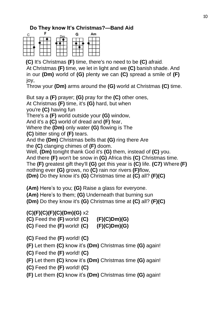#### **Do They know It's Christmas?—Band Aid**



**(C)** It's Christmas **(F)** time, there's no need to be **(C)** afraid.

At Christmas **(F)** time, we let in light and we **(C)** banish shade. And in our **(Dm)** world of **(G)** plenty we can **(C)** spread a smile of **(F)**  joy,

Throw your **(Dm)** arms around the **(G)** world at Christmas **(C)** time.

But say a **(F)** prayer; **(G)** pray for the **(C)** other ones,

At Christmas **(F)** time, it's **(G)** hard, but when

you're **(C)** having fun

There's a **(F)** world outside your **(G)** window,

And it's a **(C)** world of dread and **(F)** fear,

Where the **(Dm)** only water **(G)** flowing is The

**(C)** bitter sting of **(F)** tears.

And the **(Dm)** Christmas bells that **(G)** ring there Are

the **(C)** clanging chimes of **(F)** doom.

Well, **(Dm)** tonight thank God it's **(G)** them, instead of **(C)** you.

And there **(F)** won't be snow in **(G)** Africa this **(C)** Christmas time.

The **(F)** greatest gift they'll **(G)** get this year is **(C)** life. **(C7)** Where **(F)** 

nothing ever **(G)** grows, no **(C)** rain nor rivers **(F)**flow,

**(Dm)** Do they know it's **(G)** Christmas time at **(C)** all? **(F)(C)**

**(Am)** Here's to you; **(G)** Raise a glass for everyone.

**(Am)** Here's to them; **(G)** Underneath that burning sun

**(Dm)** Do they know it's **(G)** Christmas time at **(C)** all? **(F)(C)**

# **(C)(F)(C)(F)(C)(Dm)(G)** x2

**(C)** Feed the **(F)** world! **(C) (F)(C)Dm)(G) (C)** Feed the **(F)** world! **(C) (F)(C)Dm)(G)**

**(C)** Feed the **(F)** world! **(C)**

**(F)** Let them **(C)** know it's **(Dm)** Christmas time **(G)** again!

**(C)** Feed the **(F)** world! **(C)**

**(F)** Let them **(C)** know it's **(Dm)** Christmas time **(G)** again!

**(C)** Feed the **(F)** world! **(C)**

**(F)** Let them **(C)** know it's **(Dm)** Christmas time **(G)** again!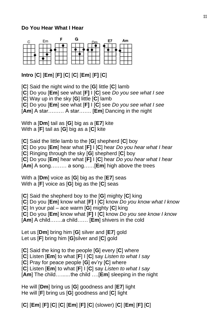#### **Do You Hear What I Hear**



# **Intro** [**C**] [**Em**] [**F]** [**C**] [**C**] [**Em**] [**F]** [**C**]

[**C**] Said the night wind to the [**G**] little [**C**] lamb [**C**] Do you [**Em**] see what [**F]** I [**C**] see *Do you see what I see* [**C**] Way up in the sky [**G**] little [**C**] lamb [**C**] Do you [**Em**] see what [**F]** I [**C**] see *Do you see what I see* [**Am**] A star……… A star……. [**Em**] Dancing in the night

With a [**Dm**] tail as [**G**] big as a [**E7**] kite With a [**F**] tail as [**G**] big as a [**C**] kite

[**C**] Said the little lamb to the [**G**] shepherd [**C**] boy [**C**] Do you [**Em**] hear what [**F]** I [**C**] hear *Do you hear what I hear* [**C**] Ringing through the sky [**G**] shepherd [**C**] boy [**C**] Do you [**Em**] hear what [**F]** I [**C**] hear *Do you hear what I hear* [**Am**] A song……… a song……[**Em**] high above the trees

With a [**Dm**] voice as [**G**] big as the [**E7**] seas With a [**F**] voice as [**G**] big as the [**C**] seas

[**C**] Said the shepherd boy to the [**G**] mighty [**C**] king [**C**] Do you [**Em**] know what [**F]** I [**C**] know *Do you know what I know* [**C**] In your pal – ace warm [**G**] mighty [**C**] king [**C**] Do you [**Em**] know what [**F]** I [**C**] know *Do you see know I know* [**Am**] A child…….a child…… [**Em**] shivers in the cold

Let us [**Dm**] bring him [**G**] silver and [**E7**] gold Let us [**F**] bring him [**G**]silver and [**C**] gold

[**C**] Said the king to the people [**G**] every [**C**] where

[**C**] Listen [**Em**] to what [**F**] I [**C**] say *Listen to what I say*

[**C**] Pray for peace people [**G**] ev'ry [**C**] where

[**C**] Listen [**Em**] to what [**F**] I [**C**] say *Listen to what I say*

[**Am**] The child…......the child ….[**Em**] sleeping in the night

He will [**Dm**] bring us [**G**] goodness and [**E7**] light He will [**F**] bring us [**G**] goodness and [**C**] light

[**C**] [**Em**] [**F]** [**C**] [**C**] [**Em**] [**F]** [**C**] (slower) [**C**] [**Em**] [**F]** [**C**]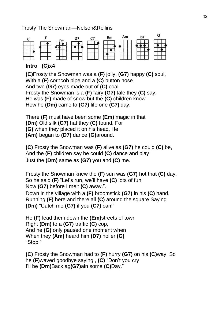Frosty The Snowman—Nelson&Rollins



#### **Intro (C)x4**

**(C)**Frosty the Snowman was a **(F)** jolly, **(G7)** happy **(C)** soul, With a **(F)** corncob pipe and a **(C)** button nose And two **(G7)** eyes made out of **(C)** coal. Frosty the Snowman is a **(F)** fairy **(G7)** tale they **(C)** say, He was **(F)** made of snow but the **(C)** children know How he **(Dm)** came to **(G7)** life one **(C7)** day.

There **(F)** must have been some **(Em)** magic in that **(Dm)** Old silk **(G7)** hat they **(C)** found, For **(G)** when they placed it on his head, He **(Am)** began to **(D7)** dance **(G)**around.

**(C)** Frosty the Snowman was **(F)** alive as **(G7)** he could **(C)** be, And the **(F)** children say he could **(C)** dance and play Just the **(Dm)** same as **(G7)** you and **(C)** me.

Frosty the Snowman knew the **(F)** sun was **(G7)** hot that **(C)** day, So he said **(F)** "Let's run, we'll have **(C)** lots of fun Now **(G7)** before I melt **(C)** away.".

Down in the village with a **(F)** broomstick **(G7)** in his **(C)** hand, Running **(F)** here and there all **(C)** around the square Saying **(Dm)** "Catch me **(G7)** if you **(C7)** can!"

He **(F)** lead them down the **(Em)**streets of town Right **(Dm)** to a **(G7)** traffic **(C)** cop, And he **(G)** only paused one moment when When they **(Am)** heard him **(D7)** holler **(G)** "Stop!"

**(C)** Frosty the Snowman had to **(F)** hurry **(G7)** on his **(C)**way, So he **(F)**waved goodbye saying , **(C)** "Don't you cry I'll be **(Dm)**Back ag**(G7)**ain some **(C)**Day."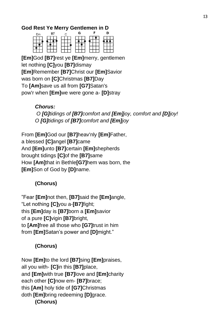#### **God Rest Ye Merry Gentlemen in D**



**[Em]**God **[B7]**rest ye **[Em]**merry, gentlemen let nothing **[C]**you **[B7]**dismay **[Em]**Remember **[B7]**Christ our **[Em]**Savior was born on **[C]**Christmas **[B7]**Day To **[Am]**save us all from **[G7]**Satan's pow'r when **[Em]**we were gone a- **[D]**stray

#### *Chorus:*

*O [G]tidings of [B7]comfort and [Em]joy, comfort and [D]joy! O [G]tidings of [B7]comfort and [Em]joy*

From **[Em]**God our **[B7]**heav'nly **[Em]**Father, a blessed **[C]**angel **[B7]**came And **[Em]**unto **[B7]**certain **[Em]**shepherds brought tidings **[C]**of the **[B7]**same How **[Am]**that in Bethle**[G7]**hem was born, the **[Em]**Son of God by **[D]**name.

# **(Chorus)**

"Fear **[Em]**not then, **[B7]**said the **[Em]**angle, "Let nothing **[C]**you a-**[B7]**fight; this **[Em]**day is **[B7]**born a **[Em]**savior of a pure **[C]**vigin **[B7]**bright, to **[Am]**free all those who **[G7]**trust in him from **[Em]**Satan's power and **[D]**might."

# **(Chorus)**

Now **[Em]**to the lord **[B7]**sing **[Em]**praises, all you with- **[C]**in this **[B7]**place, and **[Em]**with true **[B7]**love and **[Em]**charity each other **[C]**now em- **[B7]**brace; this **[Am]** holy tide of **[G7]**Christmas doth **[Em]**bring redeeming **[D]**grace. **(Chorus)**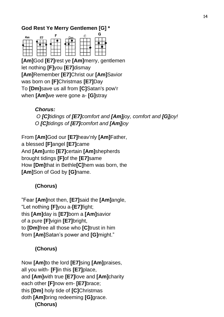## **God Rest Ye Merry Gentlemen [G] \***



**[Am]**God **[E7]**rest ye **[Am]**merry, gentlemen let nothing **[F]**you **[E7]**dismay **[Am]**Remember **[E7]**Christ our **[Am]**Savior was born on **[F]**Christmas **[E7]**Day To **[Dm]**save us all from **[C]**Satan's pow'r when **[Am]**we were gone a- **[G]**stray

*Chorus:*

*O [C]tidings of [E7]comfort and [Am]joy, comfort and [G]joy! O [C]tidings of [E7]comfort and [Am]joy*

From **[Am]**God our **[E7]**heav'nly **[Am]**Father, a blessed **[F]**angel **[E7]**came And **[Am]**unto **[E7]**certain **[Am]**shepherds brought tidings **[F]**of the **[E7]**same How **[Dm]**that in Bethle**[C]**hem was born, the **[Am]**Son of God by **[G]**name.

# **(Chorus)**

"Fear **[Am]**not then, **[E7]**said the **[Am]**angle, "Let nothing **[F]**you a-**[E7]**fight; this **[Am]**day is **[E7]**born a **[Am]**savior of a pure **[F]**vigin **[E7]**bright, to **[Dm]**free all those who **[C]**trust in him from **[Am]**Satan's power and **[G]**might."

# **(Chorus)**

Now **[Am]**to the lord **[E7]**sing **[Am]**praises, all you with- **[F]**in this **[E7]**place, and **[Am]**with true **[E7]**love and **[Am]**charity each other **[F]**now em- **[E7]**brace; this **[Dm]** holy tide of **[C]**Christmas doth **[Am]**bring redeeming **[G]**grace. **(Chorus)**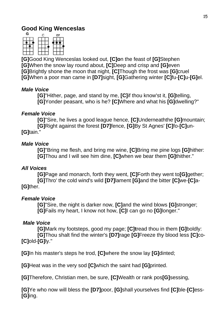# **Good King Wenceslas**



**[G]**Good King Wenceslas looked out, **[C]o**n the feast of **[G]**Stephen **[G]**When the snow lay round about, **[C]**Deep and crisp and **[G]**even **[G]**Brightly shone the moon that night, **[C]**Though the frost was **[G]**cruel **[G]**When a poor man came in **[D7]**sight, **[G]**Gathering winter **[C]**fu-**[C]**u-**[G]**el.

#### *Male Voice*

**[G]**"Hither, page, and stand by me, **[C]**if thou know'st it, **[G]**telling, **[G]**Yonder peasant, who is he? **[C]**Where and what his **[G]**dwelling?"

#### *Female Voice*

**[G]**"Sire, he lives a good league hence, **[C]**Underneaththe **[G]**mountain; **[G]**Right against the forest **[D7]**fence, **[G]**By St Agnes' **[C]**fo-**[C]**un- **[G]**tain."

#### *Male Voice*

**[G]**"Bring me flesh, and bring me wine, **[C]**Bring me pine logs **[G]**hither: **[G]**Thou and I will see him dine, **[C]**when we bear them **[G]**thither."

#### *All Voices*

**[G]**Page and monarch, forth they went, **[C]**Forth they went to**[G]**gether; **[G]**Thro' the cold wind's wild **[D7]**lament **[G]**and the bitter **[C]**we-**[C]**a- **[G]**ther.

#### *Female Voice*

**[G]**"Sire, the night is darker now, **[C]**and the wind blows **[G]**stronger; **[G]**Fails my heart, I know not how, **[C]**I can go no **[G]**longer."

#### *Male Voice*

**[G]**Mark my footsteps, good my page; **[C]t**read thou in them **[G]**boldly: **[G]**Thou shalt find the winter's **[D7]**rage **[G]**Freeze thy blood less **[C]**co- **[C]**old-**[G]**ly."

**[G]**In his master's steps he trod, **[C]**where the snow lay **[G]**dinted;

**[G]**Heat was in the very sod **[C]**which the saint had **[G]**printed.

**[G]**Therefore, Christian men, be sure, **[C]**Wealth or rank pos**[G]**sessing,

**[G]**Ye who now will bless the **[D7]**poor, **[G]**shall yourselves find **[C]**ble-**[C]**ess- **[G]**ing.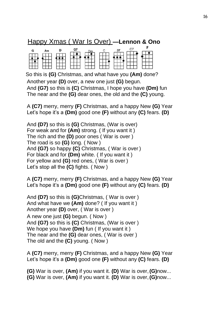# Happy Xmas ( War Is Over) **—Lennon & Ono**

| G | D | G7 |  |  |  |
|---|---|----|--|--|--|
|   |   |    |  |  |  |
|   |   |    |  |  |  |
|   |   |    |  |  |  |

So this is **(G)** Christmas, and what have you **(Am)** done? Another year **(D)** over, a new one just **(G)** begun. And **(G7)** so this is **(C)** Christmas, I hope you have **(Dm)** fun The near and the **(G)** dear ones, the old and the **(C)** young.

A **(C7)** merry, merry **(F)** Christmas, and a happy New **(G)** Year Let's hope it's a **(Dm)** good one **(F)** without any **(C)** fears. **(D)**

And **(D7)** so this is **(G)** Christmas, (War is over) For weak and for **(Am)** strong. ( If you want it ) The rich and the **(D)** poor ones ( War is over ) The road is so **(G)** long. ( Now ) And **(G7)** so happy **(C)** Christmas, ( War is over ) For black and for **(Dm)** white. ( If you want it ) For yellow and **(G)** red ones, ( War is over ) Let's stop all the **(C)** fights. ( Now )

A **(C7)** merry, merry **(F)** Christmas, and a happy New **(G)** Year Let's hope it's a **(Dm)** good one **(F)** without any **(C)** fears. **(D)**

And **(D7)** so this is **(G)**Christmas, ( War is over ) And what have we **(Am)** done? ( If you want it ) Another year **(D)** over, ( War is over ) A new one just **(G)** begun. ( Now ) And **(G7)** so this is **(C)** Christmas, (War is over ) We hope you have **(Dm)** fun ( If you want it ) The near and the **(G)** dear ones, ( War is over ) The old and the **(C)** young. ( Now )

A **(C7)** merry, merry **(F)** Christmas, and a happy New **(G)** Year Let's hope it's a **(Dm)** good one **(F)** without any **(C)** fears. **(D)**

**(G)** War is over, **(Am)** if you want it. **(D)** War is over,**(G)**now... **(G)** War is over, **(Am)** if you want it. **(D)** War is over,**(G)**now...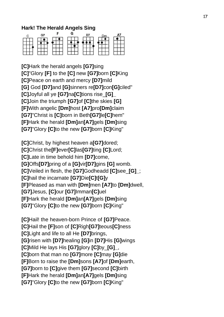#### **Hark! The Herald Angels Sing**

| G. |                                        |  |  |
|----|----------------------------------------|--|--|
|    |                                        |  |  |
|    |                                        |  |  |
|    | $\overline{\phantom{a}}$<br>- -<br>- 1 |  |  |

**[C]**Hark the herald angels **[G7]**sing **[C]**"Glory **[F]** to the **[C]** new **[G7]**born **[C]**King **[C]**Peace on earth and mercy **[D7]**mild **[G]** God **[D7]**and **[G]**sinners re**[D7]**con**[G]**ciled" **[C]**Joyful all ye **[G7]**na**[C]**tions rise\_**[G]\_ [C]**Join the triumph **[G7]**of **[C]**the skies **[G] [F]**With angelic **[Dm]**host **[A7]**pro**[Dm]**claim **[G7]**"Christ is **[C]**born in Beth**[G7]**le**[C]**hem" **[F]**Hark the herald **[Dm]**an**[A7]**gels **[Dm]**sing **[G7]**"Glory **[C]**to the new **[G7]**born **[C]**King"

**[C]**Christ, by highest heaven a**[G7]**dored; **[C]**Christ the**[F]**ever**[C]**las**[G7]**ting **[C]**Lord; **[C]**Late in time behold him **[D7]**come, **[G]**Offs**[D7]**pring of a **[G]**vir**[D7]**gins **[G]** womb. **[C]**Veiled in flesh, the **[G7]**Godheadd **[C]**see\_**[G]\_**; **[C]**hail the incarnate **[G7]**Die**[C]**t**[G]**y **[F]**Pleased as man with **[Dm]**men **[A7]**to **[Dm]**dwell, **[G7]**Jesus, **[C]**our **[G7]**Imman**[C]**uel **[F]**Hark the herald **[Dm]**an**[A7]**gels **[Dm]**sing **[G7]**"Glory **[C]**to the new **[G7]**born **[C]**King"

**[C]**Hail! the heaven-born Prince of **[G7]**Peace. **[C]**Hail the **[F]**son of **[C]**Righ**[G7]**teous**[C]**ness **[C]**Light and life to all He **[D7]**brings, **[G]**risen with **[D7]**healing **[G]**in **[D7]**His **[G]**wings **[C]**Mild He lays His **[G7]**glory **[C]**by\_**[G]\_**, **[C]**born that man no **[G7]**more **[C]**may **[G]**die **[F]**Born to raise the **[Dm]**sons **[A7]**of **[Dm]**earth, **[G7]**born to **[C]**give them **[G7]**second **[C]**birth **[F]**Hark the herald **[Dm]**an**[A7]**gels **[Dm]**sing **[G7]**"Glory **[C]**to the new **[G7]**born **[C]**King"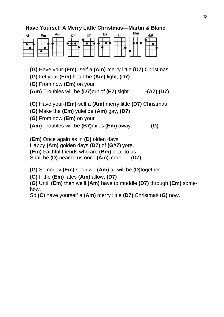#### **Have Yourself A Merry Little Christmas—Martin & Blane**

| G | Fm | Am | D. | F7 | в7 | Вm |  |
|---|----|----|----|----|----|----|--|
|   |    |    |    |    |    |    |  |
|   |    |    |    |    |    |    |  |
|   |    |    |    |    |    |    |  |

**(G)** Have your-**(Em)** -self a **(Am)** merry little **(D7)** Christmas

**(G)** Let your **(Em)** heart be **(Am)** light, **(D7)**

**(G)** From now **(Em)** on your

**(Am)** Troubles will be **(D7)**out of **(E7)** sight. **-(A7) (D7)**

**(G)** Have your-**(Em)**-self a **(Am)** merry little **(D7)** Christmas

**(G)** Make the **(Em)** yuletide **(Am)** gay, **(D7)**

**(G)** From now **(Em)** on your

**(Am)** Troubles will be **(B7)**miles **(Em)** away. **-(G)**

**(Em)** Once again as in **(D)** olden days

Happy **(Am)** golden days **(D7)** of **(G#7)** yore.

**(Em)** Faithful friends who are **(Bm)** dear to us

Shall be **(D)** near to us once **(Am)**more. **(D7)**

**(G)** Someday **(Em)** soon we **(Am)** all will be **(D)**together,

**(G)** If the **(Em)** fates **(Am)** allow, **(D7)**

**(G)** Until **(Em)** then we'll **(Am)** have to muddle **(D7)** through **(Em)** somehow.

So **(C)** have yourself a **(Am)** merry little **(D7)** Christmas **(G)** now.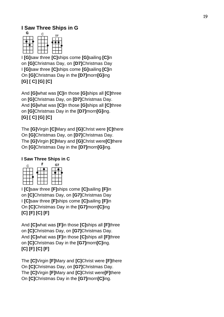#### **I Saw Three Ships in G**



I **[G]**saw three **[C]**ships come **[G]**sailing **[C]**in on **[G]**Christmas Day, on **[D7]**Christmas Day I **[G]**saw three **[C]**ships come **[G]**sailing **[C]**in On **[G]**Christmas Day in the **[D7]**morn**[G]**ing **[G] [ C] [G] [C]**

And **[G]**what was **[C]**in those **[G]**ships all **[C]**three on **[G]**Christmas Day, on **[D7]**Christmas Day. And **[G]**what was **[C]**in those **[G]**ships all **[C]**three on **[G]**Christmas Day in the **[D7]**morn**[G]**ing. **[G] [ C] [G] [C]**

The **[G]**Virgin **[C]**Mary and **[G]**Christ were **[C]**there On **[G]**Christmas Day, on **[D7]**Christmas Day. The **[G]**Virgin **[C]**Mary and **[G]**Christ were**[C]**there On **[G]**Christmas Day in the **[D7]**morn**[G]**ing.

#### **I Saw Three Ships in C**



I **[C]**saw three **[F]**ships come **[C]**sailing **[F]**in on **[C]**Christmas Day, on **[G7]**Christmas Day I **[C]**saw three **[F]**ships come **[C]**sailing **[F]**in On **[C]**Christmas Day in the **[G7]**morn**[C]**ing **[C] [F] [C] [F]**

And **[C]**what was **[F]**in those **[C]**ships all **[F]**three on **[C]**Christmas Day, on **[G7]**Christmas Day. And **[C]**what was **[F]**in those **[C]**ships all **[F]**three on **[C]**Christmas Day in the **[G7]**morn**[C]**ing. **[C] [F] [C] [F]**

The **[C]**Virgin **[F]**Mary and **[C]**Christ were **[F]**there On **[C]**Christmas Day, on **[G7]**Christmas Day. The **[C]**Virgin **[F]**Mary and **[C]**Christ were**[F]**there On **[C]**Christmas Day in the **[G7]**morn**[C]**ing.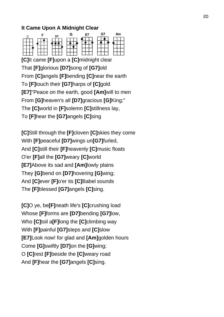#### **It Came Upon A Midnight Clear**



**[C]**It came **[F]**upon a **[C]**midnight clear That **[F]**glorious **[D7]**song of **[G7]**old From **[C]**angels **[F]**bending **[C]**near the earth To **[F]**touch their **[G7]**harps of **[C]**gold **[E7]**"Peace on the earth, good **[Am]**will to men From **[G]**heaven's all **[D7]**gracious **[G]**King;" The **[C]**world in **[F]**solemn **[C]**stillness lay, To **[F]**hear the **[G7]**angels **[C]**sing

**[C]**Still through the **[F]**cloven **[C]**skies they come With **[F]**peaceful **[D7]**wings un**[G7]**furled, And **[C]**still their **[F]**heavenly **[C]**music floats O'er **[F]**all the **[G7]**weary **[C]**world **[E7]**Above its sad and **[Am]**lowly plains They **[G]**bend on **[D7]**hovering **[G]**wing; And **[C]**ever **[F]**o'er its **[C]**Babel sounds The **[F]**blessed **[G7]**angels **[C]**sing.

**[C]**O ye, be**[F]**neath life's **[C]**crushing load Whose **[F]**forms are **[D7]**bending **[G7]**low, Who **[C]**toil a**[F]**long the **[C]**climbing way With **[F]**painful **[G7]**steps and **[C]**slow **[E7]**Look now! for glad and **[Am]**golden hours Come **[G]**swiftly **[D7]**on the **[G]**wing; O **[C]**rest **[F]**beside the **[C]**weary road And **[F]**hear the **[G7]**angels **[C]**sing.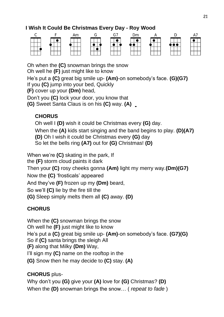# **I Wish It Could Be Christmas Every Day - Roy Wood**



Oh when the **(C)** snowman brings the snow

Oh well he **(F)** just might like to know

He's put a **(C)** great big smile up- **(Am)**-on somebody's face. **(G)(G7)** If you **(C)** jump into your bed, Quickly

**(F)** cover up your **(Dm)** head,

Don't you **(C)** lock your door, you know that

**(G)** Sweet Santa Claus is on his **(C)** way. **(A)**

# **CHORUS**

Oh well I **(D)** wish it could be Christmas every **(G)** day. When the **(A)** kids start singing and the band begins to play. **(D)(A7) (D)** Oh I wish it could be Christmas every **(G)** day So let the bells ring **(A7)** out for **(G)** Christmas! **(D)**

When we're **(C)** skating in the park, If the **(F)** storm cloud paints it dark Then your **(C)** rosy cheeks gonna **(Am)** light my merry way.**(Dm)(G7)** Now the **(C)** 'frosticals' appeared And they've **(F)** frozen up my **(Dm)** beard, So we'll **(C)** lie by the fire till the **(G)** Sleep simply melts them all **(C)** away. **(D)** 

# **CHORUS**

When the **(C)** snowman brings the snow Oh well he **(F)** just might like to know He's put a **(C)** great big smile up- **(Am)**-on somebody's face. **(G7)(G)** So if **(C)** santa brings the sleigh All **(F)** along that Milky **(Dm)** Way, I'll sign my **(C)** name on the rooftop in the **(G)** Snow then he may decide to **(C)** stay. **(A)**

# **CHORUS** plus-

Why don't you **(G)** give your **(A)** love for **(G)** Christmas? **(D)** When the **(D)** snowman brings the snow… ( *repeat to fade* )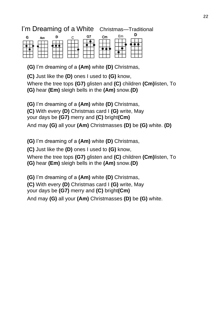# I'm Dreaming of a White Christmas—Traditional

| G     | Am | D   |             | G. | Em                  | ח |
|-------|----|-----|-------------|----|---------------------|---|
|       |    |     |             |    |                     |   |
|       |    |     |             |    |                     |   |
| - - - |    | --- | $-$<br>-200 |    | - 1<br>- 1<br>- 171 |   |

**(G)** I'm dreaming of a **(Am)** white **(D)** Christmas,

**(C)** Just like the **(D)** ones I used to **(G)** know,

Where the tree tops **(G7)** glisten and **(C)** children **(Cm)**listen, To **(G)** hear **(Em)** sleigh bells in the **(Am)** snow.**(D)**

**(G)** I'm dreaming of a **(Am)** white **(D)** Christmas,

**(C)** With every **(D)** Christmas card I **(G)** write, May

your days be **(G7)** merry and **(C)** bright**(Cm)**

And may **(G)** all your **(Am)** Christmasses **(D)** be **(G)** white. **(D)**

**(G)** I'm dreaming of a **(Am)** white **(D)** Christmas,

**(C)** Just like the **(D)** ones I used to **(G)** know,

Where the tree tops **(G7)** glisten and **(C)** children **(Cm)**listen, To **(G)** hear **(Em)** sleigh bells in the **(Am)** snow.**(D)**

**(G)** I'm dreaming of a **(Am)** white **(D)** Christmas,

**(C)** With every **(D)** Christmas card I **(G)** write, May

your days be **(G7)** merry and **(C)** bright**(Cm)**

And may **(G)** all your **(Am)** Christmasses **(D)** be **(G)** white.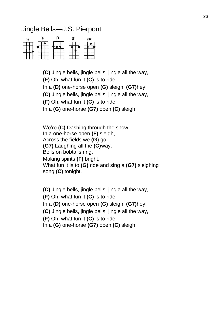# Jingle Bells—J.S. Pierpont



**(C)** Jingle bells, jingle bells, jingle all the way,

**(F)** Oh, what fun it **(C)** is to ride

In a **(D)** one-horse open **(G)** sleigh, **(G7)**hey!

**(C)** Jingle bells, jingle bells, jingle all the way,

**(F)** Oh, what fun it **(C)** is to ride

In a **(G)** one-horse **(G7)** open **(C)** sleigh.

We're **(C)** Dashing through the snow In a one-horse open **(F)** sleigh, Across the fields we **(G)** go, **(G7)** Laughing all the **(C)**way. Bells on bobtails ring, Making spirits **(F)** bright, What fun it is to **(G)** ride and sing a **(G7)** sleighing song **(C)** tonight.

**(C)** Jingle bells, jingle bells, jingle all the way, **(F)** Oh, what fun it **(C)** is to ride In a **(D)** one-horse open **(G)** sleigh, **(G7)**hey! **(C)** Jingle bells, jingle bells, jingle all the way, **(F)** Oh, what fun it **(C)** is to ride In a **(G)** one-horse **(G7)** open **(C)** sleigh.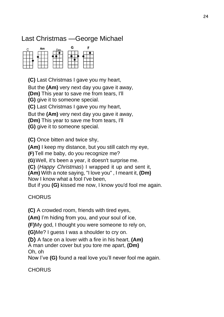# Last Christmas —George Michael

| <b>CONTRACTOR</b><br>C | Am | G |  |
|------------------------|----|---|--|
|                        |    |   |  |
|                        |    |   |  |
| ÷<br>$\sim$            |    |   |  |

**(C)** Last Christmas I gave you my heart,

But the **(Am)** very next day you gave it away,

**(Dm)** This year to save me from tears, I'll

**(G)** give it to someone special.

**(C)** Last Christmas I gave you my heart,

But the **(Am)** very next day you gave it away,

**(Dm)** This year to save me from tears, I'll

**(G)** give it to someone special.

**(C)** Once bitten and twice shy,

**(Am)** I keep my distance, but you still catch my eye,

**(F)**Tell me baby, do you recognize me?

**(G)**Well, it's been a year, it doesn't surprise me.

**(C)** (*Happy Christmas*) I wrapped it up and sent it,

**(Am)** With a note saying, "I love you" , I meant it, **(Dm)**  Now I know what a fool I've been,

But if you **(G)** kissed me now, I know you'd fool me again.

**CHORUS** 

**(C)** A crowded room, friends with tired eyes,

**(Am)** I'm hiding from you, and your soul of ice,

**(F)**My god, I thought you were someone to rely on,

**(G)**Me? I guess I was a shoulder to cry on.

**(D)** A face on a lover with a fire in his heart, **(Am)**

A man under cover but you tore me apart, **(Dm)** Oh, oh

Now I've **(G)** found a real love you'll never fool me again.

**CHORUS**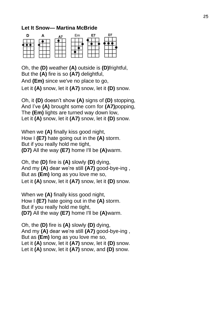#### **Let It Snow— Martina McBride**

|  |  | Е. |  |
|--|--|----|--|
|  |  |    |  |
|  |  |    |  |

Oh, the **(D)** weather **(A)** outside is **(D)**frightful, But the **(A)** fire is so **(A7)** delightful, And **(Em)** since we've no place to go, Let it **(A)** snow, let it **(A7)** snow, let it **(D)** snow.

Oh, it **(D)** doesn't show **(A)** signs of **(D)** stopping, And I've **(A)** brought some corn for **(A7)**popping, The **(Em)** lights are turned way down low, Let it **(A)** snow, let it **(A7)** snow, let it **(D)** snow.

When we **(A)** finally kiss good night, How I **(E7)** hate going out in the **(A)** storm. But if you really hold me tight, **(D7)** All the way **(E7)** home I'll be **(A)**warm.

Oh, the **(D)** fire is **(A)** slowly **(D)** dying, And my **(A)** dear we're still **(A7)** good-bye-ing , But as **(Em)** long as you love me so, Let it **(A)** snow, let it **(A7)** snow, let it **(D)** snow.

When we **(A)** finally kiss good night, How I **(E7)** hate going out in the **(A)** storm. But if you really hold me tight, **(D7)** All the way **(E7)** home I'll be **(A)**warm.

Oh, the **(D)** fire is **(A)** slowly **(D)** dying, And my **(A)** dear we're still **(A7)** good-bye-ing , But as **(Em)** long as you love me so, Let it **(A)** snow, let it **(A7)** snow, let it **(D)** snow. Let it **(A)** snow, let it **(A7)** snow, and **(D)** snow.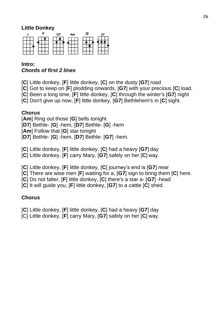#### **Little Donkey**



#### **Intro:** *Chords of first 2 lines*

[**C**] Little donkey, [**F**] little donkey, [**C**] on the dusty [**G7**] road

[**C**] Got to keep on [**F**] plodding onwards, [**G7**] with your precious [**C**] load.

[**C**] Been a long time, [**F**] little donkey, [**C**] through the winter's [**G7**] night

[**C**] Don't give up now, [**F**] little donkey, [**G7**] Bethlehem's in [**C**] sight.

#### **Chorus**

[**Am**] Ring out those [**G**] bells tonight [**D7**] Bethle- [**G**] -hem, [**D7**] Bethle- [**G**] -hem [**Am**] Follow that [**G**] star tonight [**D7**] Bethle- [**G**] -hem, [**D7**] Bethle- [**G7**] -hem.

[**C**] Little donkey, [**F**] little donkey, [**C**] had a heavy [**G7**] day [**C**] Little donkey, [**F**] carry Mary, [**G7**] safely on her [**C**] way.

[**C**] Little donkey, [**F**] little donkey, [**C**] journey's end is [**G7**] near

[**C**] There are wise men [**F**] waiting for a, [**G7**] sign to bring them [**C**] here.

[**C**] Do not falter, [**F**] little donkey, [**C**] there's a star a- [**G7**] -head

[**C**] It will guide you, [**F**] little donkey, [**G7**] to a cattle [**C**] shed.

# **Chorus**

[**C**] Little donkey, [**F**] little donkey, [**C**] had a heavy [**G7**] day [C] Little donkey, [**F**] carry Mary, [**G7**] safely on her [**C**] way.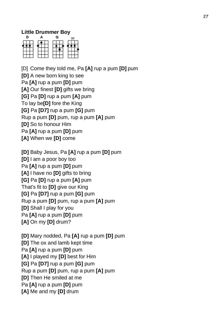#### **Little Drummer Boy**

|                          |                         | г.                                     |                    |
|--------------------------|-------------------------|----------------------------------------|--------------------|
|                          |                         |                                        |                    |
| $-1.5$<br>77<br>79<br>-- | - 1<br>$\sim$<br>÷<br>× | $\sim$<br><b>Second</b><br>╤<br>$\sim$ | $-1$<br>- 7<br>. . |

[D] Come they told me, Pa **[A]** rup a pum **[D]** pum **[D]** A new born king to see Pa **[A]** rup a pum **[D]** pum **[A]** Our finest **[D]** gifts we bring **[G]** Pa **[D]** rup a pum **[A]** pum To lay be**[D]** fore the King **[G]** Pa **[D7]** rup a pum **[G]** pum Rup a pum **[D]** pum, rup a pum **[A]** pum **[D]** So to honour Him Pa **[A]** rup a pum **[D]** pum **[A]** When we **[D]** come

**[D]** Baby Jesus, Pa **[A]** rup a pum **[D]** pum **[D]** I am a poor boy too Pa **[A]** rup a pum **[D]** pum **[A]** I have no **[D]** gifts to bring **[G]** Pa **[D]** rup a pum **[A]** pum That's fit to **[D]** give our King **[G]** Pa **[D7]** rup a pum **[G]** pum Rup a pum **[D]** pum, rup a pum **[A]** pum **[D]** Shall I play for you Pa **[A]** rup a pum **[D]** pum **[A]** On my **[D]** drum?

**[D]** Mary nodded, Pa **[A]** rup a pum **[D]** pum **[D]** The ox and lamb kept time Pa **[A]** rup a pum **[D]** pum **[A]** I played my **[D]** best for Him **[G]** Pa **[D7]** rup a pum **[G]** pum Rup a pum **[D]** pum, rup a pum **[A]** pum **[D]** Then He smiled at me Pa **[A]** rup a pum **[D]** pum **[A]** Me and my **[D]** drum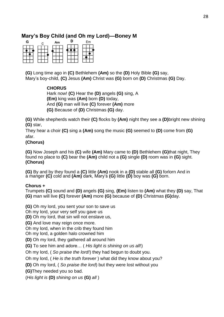#### **Mary's Boy Child (and Oh my Lord)—Boney M**



**(G)** Long time ago in **(C)** Bethlehem **(Am)** so the **(D)** Holy Bible **(G)** say, Mary's boy-child, **(C)** Jesus **(Am)** Christ was **(G)** born on **(D)** Christmas **(G)** Day.

#### **CHORUS**

Hark now! **(C)** Hear the **(D)** angels **(G)** sing, A **(Em)** king was **(Am)** born **(D)** today, And **(G)** man will live **(C)** forever **(Am)** more **(G)** Because of **(D)** Christmas **(G)** day.

**(G)** While shepherds watch their **(C)** flocks by **(Am)** night they see a **(D)**bright new shining **(G)** star,

They hear a choir **(C)** sing a **(Am)** song the music **(G)** seemed to **(D)** come from **(G)** afar.

#### **(Chorus)**

**(G)** Now Joseph and his **(C)** wife **(Am)** Mary came to **(D)** Bethlehem **(G)**that night, They found no place to **(C)** bear the **(Am)** child not a **(G)** single **(D)** room was in **(G)** sight. **(Chorus)**

**(G)** By and by they found a **(C)** little **(Am)** nook in a **(D)** stable all **(G)** forlorn And in a manger **(C)** cold and **(Am)** dark, Mary's **(G)** little **(D)** boy was **(G)** born.

#### **Chorus +**

Trumpets **(C)** sound and **(D)** angels **(G)** sing, **(Em)** listen to **(Am)** what they **(D)** say, That **(G)** man will live **(C)** forever **(Am)** more **(G)** because of **(D)** Christmas **(G)**day.

**(G)** Oh my lord, you sent your son to save us

Oh my lord, your very self you gave us

**(D)** Oh my lord, that sin will not enslave us,

**(G)** And love may reign once more.

Oh my lord, when in the crib they found him

Oh my lord, a golden halo crowned him

**(D)** Oh my lord, they gathered all around him

**(G)** To see him and adore… ( *His light is shining on us all*!)

Oh my lord, ( *So praise the lord!*) they had begun to doubt you.

Oh my lord, ( *He is the truth forever* ) what did they know about you?

**(D)** Oh my lord, ( *So praise the lord*) but they were lost without you

**(G)**They needed you so bad.

(*His light is* **(D)** *shining on us* **(G)** *all* )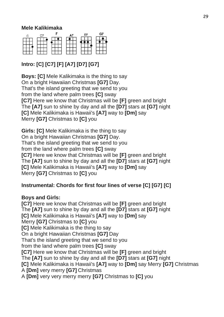#### **Mele Kalikimaka**

|  |  | 27 |
|--|--|----|
|  |  |    |
|  |  |    |
|  |  |    |
|  |  |    |

# **Intro: [C] [C7] [F] [A7] [D7] [G7]**

**Boys: [C]** Mele Kalikimaka is the thing to say On a bright Hawaiian Christmas **[G7]** Day. That's the island greeting that we send to you from the land where palm trees **[C]** sway **[C7]** Here we know that Christmas will be **[F]** green and bright The **[A7]** sun to shine by day and all the **[D7]** stars at **[G7]** night **[C]** Mele Kalikimaka is Hawaii's **[A7]** way to **[Dm]** say Merry **[G7]** Christmas to **[C]** you

**Girls: [C]** Mele Kalikimaka is the thing to say On a bright Hawaiian Christmas **[G7]** Day. That's the island greeting that we send to you from the land where palm trees **[C]** sway **[C7]** Here we know that Christmas will be **[F]** green and bright The **[A7]** sun to shine by day and all the **[D7]** stars at **[G7]** night **[C]** Mele Kalikimaka is Hawaii's **[A7]** way to **[Dm]** say Merry **[G7]** Christmas to **[C]** you

#### **Instrumental: Chords for first four lines of verse [C] [G7] [C]**

#### **Boys and Girls:**

**[C7]** Here we know that Christmas will be **[F]** green and bright The **[A7]** sun to shine by day and all the **[D7]** stars at **[G7]** night **[C]** Mele Kalikimaka is Hawaii's **[A7]** way to **[Dm]** say Merry **[G7]** Christmas to **[C]** you **[C]** Mele Kalikimaka is the thing to say On a bright Hawaiian Christmas **[G7]** Day That's the island greeting that we send to you from the land where palm trees **[C]** sway **[C7]** Here we know that Christmas will be **[F]** green and bright The **[A7]** sun to shine by day and all the **[D7]** stars at **[G7]** night **[C]** Mele Kalikimaka is Hawaii's **[A7]** way to **[Dm]** say Merry **[G7]** Christmas A **[Dm]** very merry **[G7]** Christmas A **[Dm]** very very merry merry **[G7]** Christmas to **[C]** you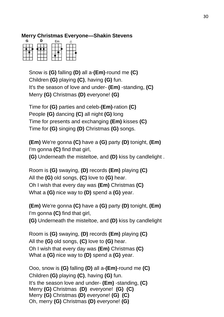#### **Merry Christmas Everyone—Shakin Stevens**

| G            |             | Em                     | ∍ |
|--------------|-------------|------------------------|---|
|              |             |                        |   |
|              |             |                        |   |
| $\sim$<br>-- | $\sim$<br>w | -<br><b>Sec.</b><br>-- | ⋍ |

Snow is **(G)** falling **(D)** all a-**(Em)**-round me **(C)** Children **(G)** playing **(C)**, having **(G)** fun. It's the season of love and under- **(Em)** -standing, **(C)** Merry **(G)** Christmas **(D)** everyone! **(G)**

Time for **(G)** parties and celeb-**(Em)**-ration **(C)** People **(G)** dancing **(C)** all night **(G)** long Time for presents and exchanging **(Em)** kisses **(C)** Time for **(G)** singing **(D)** Christmas **(G)** songs.

**(Em)** We're gonna **(C)** have a **(G)** party **(D)** tonight, **(Em)** I'm gonna **(C)** find that girl, **(G)** Underneath the misteltoe, and **(D)** kiss by candlelight .

Room is **(G)** swaying, **(D)** records **(Em)** playing **(C)** All the **(G)** old songs, **(C)** love to **(G)** hear. Oh I wish that every day was **(Em)** Christmas **(C)** What a **(G)** nice way to **(D)** spend a **(G)** year.

**(Em)** We're gonna **(C)** have a **(G)** party **(D)** tonight, **(Em)** I'm gonna **(C)** find that girl, **(G)** Underneath the misteltoe, and **(D)** kiss by candlelight

Room is **(G)** swaying, **(D)** records **(Em)** playing **(C)** All the **(G)** old songs, **(C)** love to **(G)** hear. Oh I wish that every day was **(Em)** Christmas **(C)** What a **(G)** nice way to **(D)** spend a **(G)** year.

Ooo, snow is **(G)** falling **(D)** all a-**(Em)**-round me **(C)** Children **(G)** playing **(C)**, having **(G)** fun. It's the season love and under- **(Em)** -standing, **(C)**  Merry **(G)** Christmas **(D)** everyone! **(G) (C)**  Merry **(G)** Christmas **(D)** everyone! **(G) (C)** Oh, merry **(G)** Christmas **(D)** everyone! **(G)**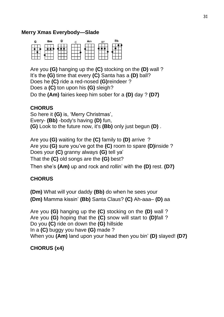#### **Merry Xmas Everybody—Slade**

| G                    | Вm                              | D                                 |                                                                | Am                            |                                     | Rh                         |
|----------------------|---------------------------------|-----------------------------------|----------------------------------------------------------------|-------------------------------|-------------------------------------|----------------------------|
|                      |                                 |                                   |                                                                |                               |                                     |                            |
| <b>Provide</b><br>-- | The contract of the contract of | The control of the control of the | THE R. P. LEWIS CO., LANSING MICH.<br>$\overline{\phantom{a}}$ | The state of the state of the | The contract of the contract of the | The control of the control |

Are you **(G)** hanging up the **(C)** stocking on the **(D)** wall ? It's the **(G)** time that every **(C)** Santa has a **(D)** ball? Does he **(C)** ride a red-nosed **(G)**reindeer ? Does a **(C)** ton upon his **(G)** sleigh? Do the **(Am)** fairies keep him sober for a **(D)** day ? **(D7)**

#### **CHORUS**

So here it **(G)** is, 'Merry Christmas', Every- **(Bb)** -body's having **(D)** fun, **(G)** Look to the future now, it's **(Bb)** only just begun **(D)** .

Are you **(G)** waiting for the **(C)** family to **(D)** arrive ? Are you **(G)** sure you've got the **(C)** room to spare **(D)**inside ? Does your **(C)** granny always **(G)** tell ya' That the **(C)** old songs are the **(G)** best? Then she's **(Am)** up and rock and rollin' with the **(D)** rest. **(D7)** 

#### **CHORUS**

**(Dm)** What will your daddy **(Bb)** do when he sees your **(Dm)** Mamma kissin' **(Bb)** Santa Claus? **(C)** Ah-aaa– **(D)** aa

Are you **(G)** hanging up the **(C)** stocking on the **(D)** wall ? Are you **(G)** hoping that the **(C)** snow will start to **(D)**fall ? Do you **(C)** ride on down the **(G)** hillside In a **(C)** buggy you have **(G)** made ? When you **(Am)** land upon your head then you bin' **(D)** slayed! **(D7)** 

#### **CHORUS (x4)**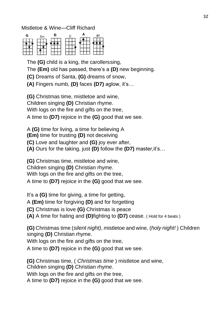Mistletoe & Wine—Cliff Richard

| G                     | Em               |               |              | יח |
|-----------------------|------------------|---------------|--------------|----|
|                       |                  |               |              |    |
|                       |                  |               |              |    |
| $\sim$<br>$\sim$<br>- | $\sim$<br>$\sim$ | $-111$<br>- - | --<br>$\sim$ |    |

The **(G)** child is a king, the carollerssing,

The **(Em)** old has passed, there's a **(D)** new beginning.

**(C)** Dreams of Santa, **(G)** dreams of snow,

**(A)** Fingers numb, **(D)** faces **(D7)** aglow, it's…

**(G)** Christmas time, mistletoe and wine,

Children singing **(D)** Christian rhyme.

With logs on the fire and gifts on the tree,

A time to **(D7)** rejoice in the **(G)** good that we see.

A **(G)** time for living, a time for believing A

**(Em)** time for trusting **(D)** not deceiving

**(C)** Love and laughter and **(G)** joy ever after,

**(A)** Ours for the taking, just **(D)** follow the **(D7)** master,it's…

**(G)** Christmas time, mistletoe and wine,

Children singing **(D)** Christian rhyme.

With logs on the fire and gifts on the tree,

A time to **(D7)** rejoice in the **(G)** good that we see.

It's a **(G)** time for giving, a time for getting,

A **(Em)** time for forgiving **(D)** and for forgetting

**(C)** Christmas is love **(G)** Christmas is peace

**(A)** A time for hating and **(D)**fighting to **(D7)** cease. ( Hold for 4 beats )

**(G)** Christmas time (*silent night)*, mistletoe and wine, (*holy night!* ) Children singing **(D)** Christian rhyme.

With logs on the fire and gifts on the tree,

A time to **(D7)** rejoice in the **(G)** good that we see.

**(G)** Christmas time, ( *Christmas time* ) mistletoe and wine,

Children singing **(D)** Christian rhyme.

With logs on the fire and gifts on the tree,

A time to **(D7)** rejoice in the **(G)** good that we see.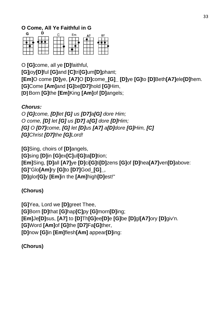## **O Come, All Ye Faithful in G**

| $\sim$<br>× |  |  |
|-------------|--|--|

O **[G]**come, all ye **[D]**faithful,

**[G]**joy**[D]**ful **[G]**and **[C]**tri**[G]**um**[D]**phant; **[Em]**O come **[D]**ye, **[A7]**O **[D]**come\_**[G]\_ [D]**ye **[G]**to **[D]**Beth**[A7]**ele**[D]**hem. **[G]**Come **[Am]**and **[G]**be**[D7]**hold **[G]**Him, **[D]**Born **[G]**the **[Em]**King **[Am]**of **[D]**angels;

#### *Chorus:*

*O [G]come, [D]let [G] us [D7]a[G] dore Him; O come, [D] let [G] us [D7] a[G] dore [D]Him; [G] O [D7]come, [G] let [D]us [A7] a[D]dore [G]Him, [C] [G]Christ [D7]the [G]Lord!*

**[G]**Sing, choirs of **[D]**angels, **[G]**sing **[D]**in **[G]**ex**[C]**ul**[G]**ta**[D]**tion; **[Em]**Sing, **[D]**all **[A7]**ye **[D]**ci**[G]**ti**[D]**zens **[G]**of **[D]**hea**[A7]**ven**[D]**above: **[G]**"Glo**[Am]**ry **[G]**to **[D7]**God\_**[G]\_**, **[D]**glor**[G]**y **[Em]**in the **[Am]**high**[D]**est!"

#### **(Chorus)**

**[G]**Yea, Lord we **[D]**greet Thee, **[G]**Born **[D]**that **[G]**hap**[C]**py **[G]**morn**[D]**ing; **[Em]**Je**[D]**sus, **[A7]** to **[D]**Th**[G]**ee**[D]**e **[G]**be **[D]**gl**[A7]**ory **[D]**giv'n. **[G]**Word **[Am]**of **[G]**the **[D7]**Fa**[G]**ther, **[D]**now **[G]**in **[Em]**flesh**[Am]** appear**[D]**ing:

**(Chorus)**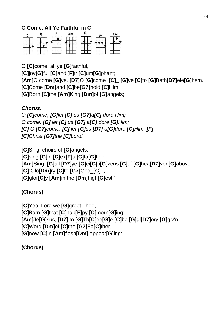### **O Come, All Ye Faithful in C**



O **[C]**come, all ye **[G]**faithful,

**[C]**joy**[G]**ful **[C]**and **[F]**tri**[C]**um**[G]**phant; **[Am]**O come **[G]**ye, **[D7]**O **[G]**come\_**[C]\_ [G]**ye **[C]**to **[G]**Beth**[D7]**ele**[G]**hem. **[C]**Come **[Dm]**and **[C]**be**[G7]**hold **[C]**Him, **[G]**Born **[C]**the **[Am]**King **[Dm]**of **[G]**angels;

#### *Chorus:*

*O [C]come, [G]let [C] us [G7]a[C] dore Him; O come, [G] let [C] us [G7] a[C] dore [G]Him; [C] O [G7]come, [C] let [G]us [D7] a[G]dore [C]Him, [F] [C]Christ [G7]the [C]Lord!*

**[C]**Sing, choirs of **[G]**angels, **[C]**sing **[G]**in **[C]**ex**[F]**ul**[C]**ta**[G]**tion; **[Am]**Sing, **[G]**all **[D7]**ye **[G]**ci**[C]**ti**[G]**zens **[C]**of **[G]**hea**[D7]**ven**[G]**above: **[C]**"Glo**[Dm]**ry **[C]**to **[G7]**God\_**[C]\_**, **[G]**glor**[C]**y **[Am]**in the **[Dm]**high**[G]**est!"

#### **(Chorus)**

**[C]**Yea, Lord we **[G]**greet Thee, **[C]**Born **[G]**that **[C]**hap**[F]**py **[C]**morn**[G]**ing; **[Am]**Je**[G]**sus, **[D7]** to **[G]**Th**[C]**ee**[G]**e **[C]**be **[G]**gl**[D7]**ory **[G]**giv'n. **[C]**Word **[Dm]**of **[C]**the **[G7]**Fa**[C]**ther, **[G]**now **[C]**in **[Am]**flesh**[Dm]** appear**[G]**ing:

**(Chorus)**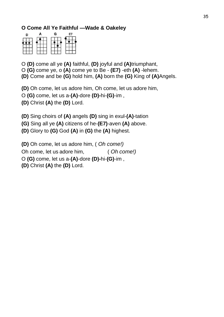#### **O Come All Ye Faithful —Wade & Oakeley**

| D | н |    |  |
|---|---|----|--|
|   |   |    |  |
|   |   | -- |  |

O **(D)** come all ye **(A)** faithful, **(D)** joyful and **(A)**triumphant, O **(G)** come ye, o **(A)** come ye to Be - **(E7)** -eth **(A)** -lehem. **(D)** Come and be **(G)** hold him, **(A)** born the **(G)** King of **(A)**Angels.

**(D)** Oh come, let us adore him, Oh come, let us adore him,

O **(G)** come, let us a-**(A)**-dore **(D)-**hi-**(G)**-im ,

**(D)** Christ **(A)** the **(D)** Lord.

**(D)** Sing choirs of **(A)** angels **(D)** sing in exul-**(A)**-tation

**(G)** Sing all ye **(A)** citizens of he-**(E7)**-aven **(A)** above.

**(D)** Glory to **(G)** God **(A)** in **(G)** the **(A)** highest.

**(D)** Oh come, let us adore him, ( *Oh come!)*

Oh come, let us adore him, ( *Oh come!)*

O **(G)** come, let us a-**(A)**-dore **(D)-**hi-**(G)**-im ,

**(D)** Christ **(A)** the **(D)** Lord.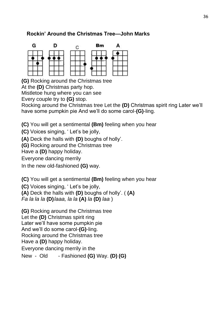#### **Rockin' Around the Christmas Tree—John Marks**



**(G)** Rocking around the Christmas tree

At the **(D)** Christmas party hop.

Mistletoe hung where you can see

Every couple try to **(G)** stop.

Rocking around the Christmas tree Let the **(D)** Christmas spirit ring Later we'll have some pumpkin pie And we'll do some carol-**(G)**-ling.

**(C)** You will get a sentimental **(Bm)** feeling when you hear

**(C)** Voices singing, ' Let's be jolly,

**(A)** Deck the halls with **(D)** boughs of holly'.

**(G)** Rocking around the Christmas tree

Have a **(D)** happy holiday.

Everyone dancing merrily

In the new old-fashioned **(G)** way.

**(C)** You will get a sentimental **(Bm)** feeling when you hear

**(C)** Voices singing, ' Let's be jolly,

**(A)** Deck the halls with **(D)** boughs of holly'. ( **(A)**

*Fa la la la* **(D)***laaa, la la* **(A)** *la* **(D)** *laa* )

**(G)** Rocking around the Christmas tree

Let the **(D)** Christmas spirit ring

Later we'll have some pumpkin pie

And we'll do some carol-**(G)**-ling.

Rocking around the Christmas tree

Have a **(D)** happy holiday.

Everyone dancing merrily in the

New - Old - Fashioned **(G)** Way. **(D) (G)**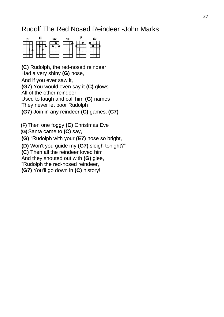# Rudolf The Red Nosed Reindeer -John Marks



**(C)** Rudolph, the red-nosed reindeer Had a very shiny **(G)** nose,

And if you ever saw it,

**(G7)** You would even say it **(C)** glows.

All of the other reindeer

Used to laugh and call him **(G)** names

They never let poor Rudolph

**(G7)** Join in any reindeer **(C)** games. **(C7)**

**(F)**Then one foggy **(C)** Christmas Eve

**(G)**Santa came to **(C)** say,

**(G)** "Rudolph with your **(E7)** nose so bright,

**(D)** Won't you guide my **(G7)** sleigh tonight?"

**(C)** Then all the reindeer loved him

And they shouted out with **(G)** glee,

"Rudolph the red-nosed reindeer,

**(G7)** You'll go down in **(C)** history!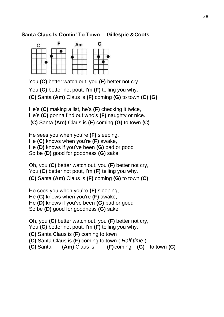#### **Santa Claus Is Comin' To Town— Gillespie &Coots**



You **(C)** better watch out, you **(F)** better not cry,

You **(C)** better not pout, I'm **(F)** telling you why. **(C)** Santa **(Am)** Claus is **(F)** coming **(G)** to town **(C) (G)**

He's **(C)** making a list, he's **(F)** checking it twice, He's **(C)** gonna find out who's **(F)** naughty or nice. **(C)** Santa **(Am)** Claus is **(F)** coming **(G)** to town **(C)**

He sees you when you're **(F)** sleeping, He **(C)** knows when you're **(F)** awake, He **(D)** knows if you've been **(G)** bad or good So be **(D)** good for goodness **(G)** sake,

Oh, you **(C)** better watch out, you **(F)** better not cry, You **(C)** better not pout, I'm **(F)** telling you why. **(C)** Santa **(Am)** Claus is **(F)** coming **(G)** to town **(C)**

He sees you when you're **(F)** sleeping, He **(C)** knows when you're **(F)** awake, He **(D)** knows if you've been **(G)** bad or good So be **(D)** good for goodness **(G)** sake,

Oh, you **(C)** better watch out, you **(F)** better not cry, You **(C)** better not pout, I'm **(F)** telling you why. **(C)** Santa Claus is **(F)** coming to town **(C)** Santa Claus is **(F)** coming to town ( *Half time* ) **(C)** Santa **(Am)** Claus is **(F)**coming **(G)** to town **(C)**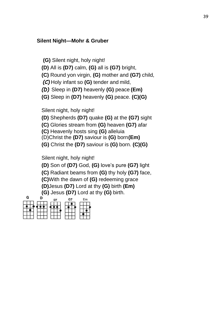#### **Silent Night—Mohr & Gruber**

**(G)** Silent night, holy night!

**(D)** All is **(D7)** calm, **(G)** all is **(G7)** bright,

**(C)** Round yon virgin, **(G)** mother and **(G7)** child,

*(C)* Holy infant so **(G)** tender and mild,

*(D)* Sleep in **(D7)** heavenly **(G)** peace **(Em)**

**(G)** Sleep in **(D7)** heavenly **(G)** peace. **(C)(G)**

Silent night, holy night!

**(D)** Shepherds **(D7)** quake **(G)** at the **(G7)** sight

**(C)** Glories stream from **(G)** heaven **(G7)** afar

**(C)** Heavenly hosts sing **(G)** alleluia

(D)Christ the **(D7)** saviour is **(G)** born**(Em)**

**(G)** Christ the **(D7)** saviour is **(G)** born. **(C)(G)**

Silent night, holy night!

**(D)** Son of **(D7)** God, **(G)** love's pure **(G7)** light

**(C)** Radiant beams from **(G)** thy holy **(G7)** face,

**(C)**With the dawn of **(G)** redeeming grace

**(D)**Jesus **(D7)** Lord at thy **(G)** birth **(Em)**

**(G)** Jesus **(D7)** Lord at thy **(G)** birth.

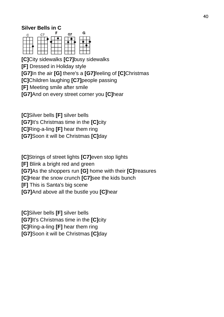#### **Silver Bells in C**



**[C]**City sidewalks **[C7]**busy sidewalks **[F]** Dressed in Holiday style **[G7]**In the air **[G]** there's a **[G7]**feeling of **[C]**Christmas **[C]**Children laughing **[C7]**people passing **[F]** Meeting smile after smile **[G7]**And on every street corner you **[C]**hear

**[C]**Silver bells **[F]** silver bells **[G7]**It's Christmas time in the **[C]**city **[C]**Ring-a-ling **[F]** hear them ring **[G7]**Soon it will be Christmas **[C]**day

**[C]**Strings of street lights **[C7]**even stop lights **[F]** Blink a bright red and green **[G7]**As the shoppers run **[G]** home with their **[C]**treasures **[C]**Hear the snow crunch **[C7]**see the kids bunch **[F]** This is Santa's big scene **[G7]**And above all the bustle you **[C]**hear

**[C]**Silver bells **[F]** silver bells **[G7]**It's Christmas time in the **[C]**city **[C]**Ring-a-ling **[F]** hear them ring **[G7]**Soon it will be Christmas **[C]**day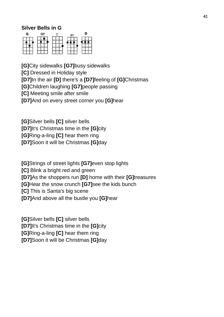#### **Silver Bells in G**



**[G]**City sidewalks **[G7]**busy sidewalks **[C]** Dressed in Holiday style **[D7]**In the air **[D]** there's a **[D7]**feeling of **[G]**Christmas **[G]**Children laughing **[G7]**people passing **[C]** Meeting smile after smile **[D7]**And on every street corner you **[G]**hear

**[G]**Silver bells **[C]** silver bells **[D7]**It's Christmas time in the **[G]**city **[G]**Ring-a-ling **[C]** hear them ring **[D7]**Soon it will be Christmas **[G]**day

**[G]**Strings of street lights **[G7]**even stop lights **[C]** Blink a bright red and green **[D7]**As the shoppers run **[D]** home with their **[G]**treasures **[G]**Hear the snow crunch **[G7]**see the kids bunch **[C]** This is Santa's big scene **[D7]**And above all the bustle you **[G]**hear

**[G]**Silver bells **[C]** silver bells **[D7]**It's Christmas time in the **[G]**city **[G]**Ring-a-ling **[C]** hear them ring **[D7]**Soon it will be Christmas **[G]**day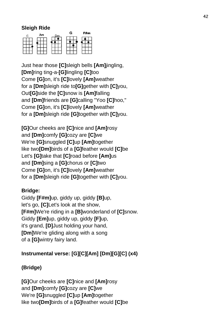#### **Sleigh Ride**



Just hear those **[C]**sleigh bells **[Am]**jingling, **[Dm]**ring ting-a-**[G]**lingling **[C]**too Come **[G]**on, it's **[C]**lovely **[Am]**weather for a **[Dm]**sleigh ride to**[G]**gether with **[C]**you, Out**[G]**side the **[C]**snow is **[Am]**falling and **[Dm]**friends are **[G]**calling "Yoo **[C]**hoo," Come **[G]**on, it's **[C]**lovely **[Am]**weather for a **[Dm]**sleigh ride **[G]**together with **[C]**you.

**[G]**Our cheeks are **[C]**nice and **[Am]**rosy and **[Dm]**comfy **[G]**cozy are **[C]**we We're **[G]**snuggled **[C]**up **[Am]**together like two**[Dm]**birds of a **[G]**feather would **[C]**be Let's **[G]**take that **[C]**road before **[Am]**us and **[Dm]**sing a **[G]**chorus or **[C]**two Come **[G]**on, it's **[C]**lovely **[Am]**weather for a **[Dm]**sleigh ride **[G]**together with **[C]**you.

#### **Bridge:**

Giddy **[F#m]**up, giddy up, giddy **[B]**up, let's go, **[C]**Let's look at the show, **[F#m]**We're riding in a **[B]**wonderland of **[C]**snow. Giddy **[Em]**up, giddy up, giddy **[F]**up, it's grand, **[D]**Just holding your hand, **[Dm]**We're gliding along with a song of a **[G]**wintry fairy land.

#### **Instrumental verse: [G][C][Am] [Dm][G][C] (x4)**

#### **(Bridge)**

**[G]**Our cheeks are **[C]**nice and **[Am]**rosy and **[Dm]**comfy **[G]**cozy are **[C]**we We're **[G]**snuggled **[C]**up **[Am]**together like two**[Dm]**birds of a **[G]**feather would **[C]**be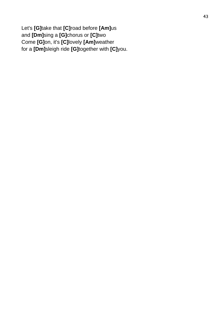Let's **[G]**take that **[C]**road before **[Am]**us and **[Dm]**sing a **[G]**chorus or **[C]**two Come **[G]**on, it's **[C]**lovely **[Am]**weather for a **[Dm]**sleigh ride **[G]**together with **[C]**you.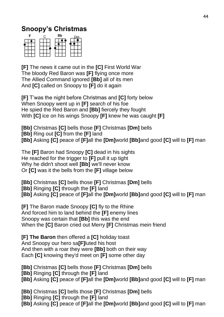# **Snoopy's Christmas**



**[F]** The news it came out in the **[C]** First World War The bloody Red Baron was **[F]** flying once more The Allied Command ignored **[Bb]** all of its men And **[C]** called on Snoopy to **[F]** do it again

**[F]** T'was the night before Christmas and **[C]** forty below When Snoopy went up in **[F]** search of his foe He spied the Red Baron and **[Bb]** fiercely they fought With **[C]** ice on his wings Snoopy **[F]** knew he was caught **[F]**

**[Bb]** Christmas **[C]** bells those **[F]** Christmas **[Dm]** bells **[Bb]** Ring out **[C]** from the **[F]** land **[Bb]** Asking **[C]** peace of **[F]**all the **[Dm]**world **[Bb]**and good **[C]** will to **[F]** man

The **[F]** Baron had Snoopy **[C]** dead in his sights He reached for the trigger to **[F]** pull it up tight Why he didn't shoot well **[Bb]** we'll never know Or **[C]** was it the bells from the **[F]** village below

**[Bb]** Christmas **[C]** bells those **[F]** Christmas **[Dm]** bells **[Bb]** Ringing **[C]** through the **[F]** land **[Bb]** Asking **[C]** peace of **[F]**all the **[Dm]**world **[Bb]**and good **[C]** will to **[F]** man

**[F]** The Baron made Snoopy **[C]** fly to the Rhine And forced him to land behind the **[F]** enemy lines Snoopy was certain that **[Bb]** this was the end When the **[C]** Baron cried out Merry **[F]** Christmas mein friend

**[F] The Baron** then offered a **[C]** holiday toast And Snoopy our hero sa**[F]**luted his host And then with a roar they were **[Bb]** both on their way Each **[C]** knowing they'd meet on **[F]** some other day

**[Bb]** Christmas **[C]** bells those **[F]** Christmas **[Dm]** bells

**[Bb]** Ringing **[C]** through the **[F]** land

**[Bb]** Asking **[C]** peace of **[F]**all the **[Dm]**world **[Bb]**and good **[C]** will to **[F]** man

**[Bb]** Christmas **[C]** bells those **[F]** Christmas **[Dm]** bells

**[Bb]** Ringing **[C]** through the **[F]** land

**[Bb]** Asking **[C]** peace of **[F]**all the **[Dm]**world **[Bb]**and good **[C]** will to **[F]** man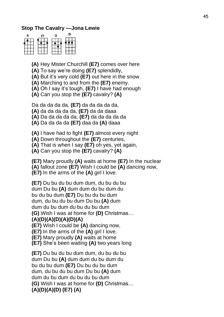#### **Stop The Cavalry —Jona Lewie**

| Е | G |  |
|---|---|--|
|   |   |  |
|   |   |  |

**(A)** Hey Mister Churchill **(E7)** comes over here

**(A)** To say we're doing **(E7)** splendidly,

**(A)** But it's very cold **(E7)** out here in the snow

**(A)** Marching to and from the **(E7)** enemy.

**(A)** Oh I say it's tough, **(E7)** I have had enough

**(A)** Can you stop the **(E7)** cavalry? **(A)**

Da da da da da, **(E7)** da da da da da,

**(A)** da da da da da, **(E7)** da da daaa

**(A)** Da da da da da, **(E7)** da da da da da

**(A)** Da da da da **(E7)** daa da **(A)** daaa

**(A)** I have had to fight **(E7)** almost every night

**(A)** Down throughout the **(E7)** centuries,

**(A)** That is when I say **(E7)** oh yes, yet again,

**(A)** Can you stop the **(E7)** cavalry? **(A)**

**(E7)** Mary proudly **(A)** waits at home **(E7)** In the nuclear **(A)** fallout zone **(E7)** Wish I could be **(A)** dancing now, **(E7)** In the arms of the **(A)** girl I love.

**(E7)** Du bu du bu dum dum, du bu du bu dum Du bu **(A)** dum dum du bu dum du bu du bu dum **(E7)** Du bu du bu dum dum, du bu du bu dum Du bu **(A)** dum dum du bu dum du bu du bu dum **(G)** Wish I was at home for **(D)** Christmas… **(A)(D)(A)(D)(A)(D)(A) (E7)** Wish I could be **(A)** dancing now, **(E7)** In the arms of the **(A)** girl I love.

**(E7)** Mary proudly **(A)** waits at home

**(E7)** She's been waiting **(A)** two years long

**(E7)** Du bu du bu dum dum, du bu du bu dum Du bu **(A)** dum dum du bu dum du bu du bu dum **(E7)** Du bu du bu dum dum, du bu du bu dum Du bu **(A)** dum dum du bu dum du bu du bu dum **(G)** Wish I was at home for **(D)** Christmas… **(A)(D)(A)(D) (E7) (A)**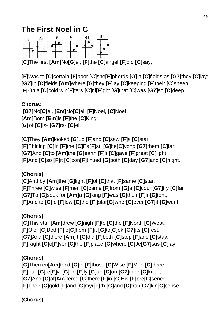# **The First Noel in C**

|     | Am | G                | G7                    | Fm |
|-----|----|------------------|-----------------------|----|
|     |    |                  |                       |    |
|     |    |                  |                       |    |
| --- |    | $\sim$<br>$\sim$ | $\sim$<br>÷<br>$\sim$ |    |

**[C]**The first **[Am]**No**[G]**el, **[F]**the **[C]**angel **[F]**did **[C]**say,

**[F]**Was to **[C]**certain **[F]**poor **[C]**she**[F]**pherds **[G]**in **[C]**fields as **[G7]**they **[C]**lay; **[G7]**In **[C]**fields **[Am]**where **[G]**they **[F]**lay **[C]**keeping **[F]**their **[C]**sheep **[F]**On a **[C]**cold win**[F]**ters **[C]**ni**[F]**ght **[G]**that **[C]**was **[G7]**so **[C]**deep.

# **Chorus:**

**[G7]**No**[C]**el, **[Em]**No**[C]**el, **[F]**Noel, **[C]**Noel **[Am]**Born **[Em]**is **[F]**the **[C]**King **[G]**of **[C]**Is- **[G7]**ra- **[C]**el.

**[C]**They **[Am]**looked **[G]**up **[F]**and **[C]**saw **[F]**a **[C]**star, **[F]**Shining **[C]**in **[F]**the **[C]**Ea**[F]**st, **[G]**be**[C]**yond **[G7]**them **[C]**far; **[G7]**And **[C]**to **[Am]**the **[G]**earth **[F]**it **[C]**gave **[F]**great **[C]**light; **[F]**And **[C]**so **[F]**it **[C]**con**[F]**tinued **[G]**both **[C]**day **[G7]**and **[C]**night.

# **(Chorus)**

**[C]**And by **[Am]**the **[G]**light **[F]**of **[C]**that **[F]**same **[C]**star, **[F]**Three **[C]**wise **[F]**men **[C]**came **[F]**from **[G]**a **[C]**coun**[G7]**try **[C]**far **[G7]**To **[C]**seek for **[Am]**a **[G]**king **[F]**was **[C]**their **[F]**in**[C]**tent, **[F]**And to **[C]**fol**[F]**low **[C]**the **[F ]**star**[G]**wher**[C]**ever **[G7]**it **[C]**went.

# **(Chorus)**

**[C]**This star **[Am]**drew **[G]**nigh **[F]**to **[C]**the **[F]**North **[C]**West, **[F]**O'er **[C]**Beth**[F]**le**[C]**hem **[F]**it **[G]**to**[C]**ok **[G7]**its **[C]**rest, **[G7]**And **[C]**there **[Am]**it **[G]**did **[F]**both **[C]**stop **[F]**and **[C]**stay, **[F]**Right **[C]**o**[F]**ver **[C]**the **[F]**place **[G]**where **[C]**Je**[G7]**sus **[C]**lay.

#### **(Chorus)**

**[C]**Then en**[Am]**ter'd **[G]**in **[F]**those **[C]**Wise **[F]**Men **[C]**three **[F]**Full **[C]**re**[F]**v'r**[C]**ent**[F]**ly **[G]**up **[C]**on **[G7]**their **[C]**knee, **[G7]**And **[C]**of**[Am]**fered **[G]**there **[F]**in **[C]**His **[F]**pre**[C]**sence **[F]**Their **[C]**gold **[F]**and **[C]**myr**[F]**rh **[G]**and **[C]**fran**[G7]**kin**[C]**cense.

# **(Chorus)**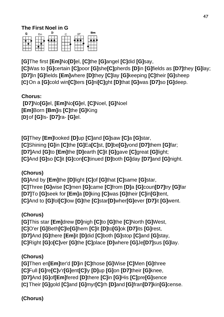# **(Chorus)**

**(Chorus) [G]**Then en**[Em]**ter'd **[D]**in **[C]**those **[G]**Wise **[C]**Men **[G]**three **[C]**Full **[G]**re**[C]**v'r**[G]**ent**[C]**ly **[D]**up **[G]**on **[D7]**their **[G]**knee, **[D7]**And **[G]**of**[Em]**fered **[D]**there **[C]**in **[G]**His **[C]**pre**[G]**sence **[C]**Their **[G]**gold **[C]**and **[G]**myr**[C]**rh **[D]**and **[G]**fran**[D7]**kin**[G]**cense.

**(Chorus) [G]**This star **[Em]**drew **[D]**nigh **[C]**to **[G]**the **[C]**North **[G]**West, **[C]**O'er **[G]**Beth**[C]**le**[G]**hem **[C]**it **[D]**to**[G]**ok **[D7]**its **[G]**rest, **[D7]**And **[G]**there **[Em]**it **[D]**did **[C]**both **[G]**stop **[C]**and **[G]**stay, **[C]**Right **[G]**o**[C]**ver **[G]**the **[C]**place **[D]**where **[G]**Je**[D7]**sus **[G]**lay.

**(Chorus) [G]**And by **[Em]**the **[D]**light **[C]**of **[G]**that **[C]**same **[G]**star, **[C]**Three **[G]**wise **[C]**men **[G]**came **[C]**from **[D]**a **[G]**coun**[D7]**try **[G]**far **[D7]**To **[G]**seek for **[Em]**a **[D]**king **[C]**was **[G]**their **[C]**in**[G]**tent, **[C]**And to **[G]**fol**[C]**low **[G]**the **[C]**star**[D]**wher**[G]**ever **[D7]**it **[G]**went.

**[G]**They **[Em]**looked **[D]**up **[C]**and **[G]**saw **[C]**a **[G]**star, **[C]**Shining **[G]**in **[C]**the **[G]**Ea**[C]**st, **[D]**be**[G]**yond **[D7]**them **[G]**far; **[D7]**And **[G]**to **[Em]**the **[D]**earth **[C]**it **[G]**gave **[C]**great **[G]**light; **[C]**And **[G]**so **[C]**it **[G]**con**[C]**tinued **[D]**both **[G]**day **[D7]**and **[G]**night.

**Chorus: [D7]**No**[G]**el, **[Em]**No**[G]**el, **[C]**Noel, **[G]**Noel **[Em]**Born **[Bm]**is **[C]**the **[G]**King **[D]** of **[G]**Is- **[D7]**ra- **[G]**el.

**[G]**The first **[Em]**No**[D]**el, **[C]**the **[G]**angel **[C]**did **[G]**say, **[C]**Was to **[G]**certain **[C]**poor **[G]**she**[C]**pherds **[D]**in **[G]**fields as **[D7]**they **[G]**lay; **[D7]**In **[G]**fields **[Em]**where **[D]**they **[C]**lay **[G]**keeping **[C]**their **[G]**sheep **[C]**On a **[G]**cold win**[C]**ters **[G]**ni**[C]**ght **[D]**that **[G]**was **[D7]**so **[G]**deep.



#### **The First Noel in G**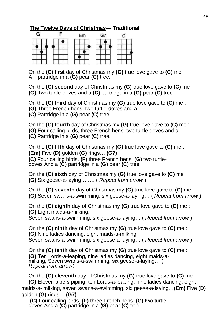#### **The Twelve Days of Christmas— Traditional**

| С | Em | G7 |  |
|---|----|----|--|
|   |    |    |  |
|   |    |    |  |
|   |    |    |  |

On the **(C) first** day of Christmas my **(G)** true love gave to **(C)** me : A partridge in a **(G)** pear **(C)** tree.

On the **(C) second** day of Christmas my **(G)** true love gave to **(C)** me : **(G)** Two turtle-doves and a **(C)** partridge in a **(G)** pear **(C)** tree.

On the **(C) third** day of Christmas my **(G)** true love gave to **(C)** me :

**(G)** Three French hens, two turtle-doves and a

**(C)** Partridge in a **(G)** pear **(C)** tree.

On the **(C) fourth** day of Christmas my **(G)** true love gave to **(C)** me : **(G)** Four calling birds, three French hens, two turtle-doves and a

**(C)** Partridge in a **(G)** pear **(C)** tree.

On the **(C) fifth** day of Christmas my **(G)** true love gave to **(C)** me : **(Em)** Five **(D)** golden **(G)** rings… **(G7) (C)** Four calling birds, **(F)** three French hens, **(G)** two turtledoves And a **(C)** partridge in a **(G)** pear **(C)** tree.

On the **(C) sixth** day of Christmas my **(G)** true love gave to **(C)** me : **(G)** Six geese-a-laying… …. ( *Repeat from arrow* )

On the **(C) seventh** day of Christmas my **(G)** true love gave to **(C)** me : **(G)** Seven swans-a-swimming, six geese-a-laying… ( *Repeat from arrow* )

On the **(C) eighth** day of Christmas my **(G)** true love gave to **(C)** me : **(G)** Eight maids-a-milking,

Seven swans-a-swimming, six geese-a-laying… ( *Repeat from arrow* )

On the **(C) ninth** day of Christmas my **(G)** true love gave to **(C)** me : **(G)** Nine ladies dancing, eight maids-a-milking, Seven swans-a-swimming, six geese-a-laying… ( *Repeat from arrow* )

On the **(C) tenth** day of Christmas my **(G)** true love gave to **(C)** me : **(G)** Ten Lords-a-leaping, nine ladies dancing, eight maids-amilking, Seven swans-a-swimming, six geese-a-laying… ( *Repeat from arrow*)

On the **(C) eleventh** day of Christmas my **(G)** true love gave to **(C)** me : **(G)** Eleven pipers piping, ten Lords-a-leaping, nine ladies dancing, eight maids-a- milking, seven swans-a-swimming, six geese-a-laying…**(Em)** Five **(D)**  golden **(G)** rings… **(G7)**

**(C)** Four calling birds, **(F)** three French hens, **(G)** two turtledoves And a **(C)** partridge in a **(G)** pear **(C)** tree.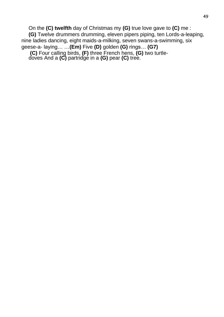On the **(C) twelfth** day of Christmas my **(G)** true love gave to **(C)** me : **(G)** Twelve drummers drumming, eleven pipers piping, ten Lords-a-leaping, nine ladies dancing, eight maids-a-milking, seven swans-a-swimming, six geese-a- laying… …**(Em)** Five **(D)** golden **(G)** rings… **(G7) (C)** Four calling birds, **(F)** three French hens, **(G)** two turtle-

doves And a **(C)** partridge in a **(G)** pear **(C)** tree.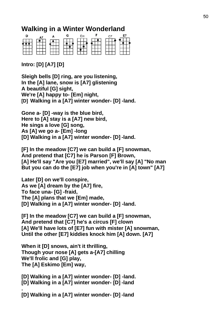# **Walking in a Winter Wonderland**



**Intro: [D] [A7] [D]**

**Sleigh bells [D] ring, are you listening, In the [A] lane, snow is [A7] glistening A beautiful [G] sight, We're [A] happy to- [Em] night, [D] Walking in a [A7] winter wonder- [D] -land.**

**Gone a- [D] -way is the blue bird, Here to [A] stay is a [A7] new bird, He sings a love [G] song, As [A] we go a- [Em] -long [D] Walking in a [A7] winter wonder- [D] -land.**

**[F] In the meadow [C7] we can build a [F] snowman, And pretend that [C7] he is Parson [F] Brown, [A] He'll say "Are you [E7] married", we'll say [A] "No man But you can do the [E7] job when you're in [A] town" [A7]**

**Later [D] on we'll conspire, As we [A] dream by the [A7] fire, To face una- [G] -fraid, The [A] plans that we [Em] made, [D] Walking in a [A7] winter wonder- [D] -land.**

**[F] In the meadow [C7] we can build a [F] snowman, And pretend that [C7] he's a circus [F] clown [A] We'll have lots of [E7] fun with mister [A] snowman, Until the other [E7] kiddies knock him [A] down. [A7]**

**When it [D] snows, ain't it thrilling, Though your nose [A] gets a-[A7] chilling We'll frolic and [G] play, The [A] Eskimo [Em] way,**

**[D] Walking in a [A7] winter wonder- [D] -land. [D] Walking in a [A7] winter wonder- [D] -land .**

**[D] Walking in a [A7] winter wonder- [D] -land**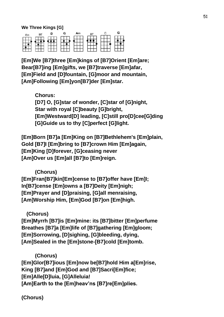**We Three Kings [G]**



**[Em]We [B7]three [Em]kings of [B7]Orient [Em]are; Bear[B7]ing [Em]gifts, we [B7]traverse [Em]afar, [Em]Field and [D]fountain, [G]moor and mountain, [Am]Following [Em]yon[B7]der [Em]star.**

> **Chorus: [D7] O, [G]star of wonder, [C]star of [G]night, Star with royal [C]beauty [G]bright, [Em]Westward[D] leading, [C]still pro[D]cee[G]ding [G]Guide us to thy [C]perfect [G]light.**

**[Em]Born [B7]a [Em]King on [B7]Bethlehem's [Em]plain, Gold [B7]I [Em]bring to [B7]crown Him [Em]again, [Em]King [D]forever, [G]ceasing never [Am]Over us [Em]all [B7]to [Em]reign.**

#### **(Chorus)**

**[Em]Fran[B7]kin[Em]cense to [B7]offer have [Em]I; In[B7]cense [Em]owns a [B7]Deity [Em]nigh; [Em]Prayer and [D]praising, [G]all menraising, [Am]Worship Him, [Em]God [B7]on [Em]high.**

#### **(Chorus)**

**[Em]Myrrh [B7]is [Em]mine: its [B7]bitter [Em]perfume Breathes [B7]a [Em]life of [B7]gathering [Em]gloom; [Em]Sorrowing, [D]sighing, [G]bleeding, dying, [Am]Sealed in the [Em]stone-[B7]cold [Em]tomb.**

#### **(Chorus)**

**[Em]Glor[B7]ious [Em]now be[B7]hold Him a[Em]rise, King [B7]and [Em]God and [B7]Sacri[Em]fice; [Em]Alle[D]luia, [G]Alleluia! [Am]Earth to the [Em]heav'ns [B7]re[Em]plies.** 

**(Chorus)**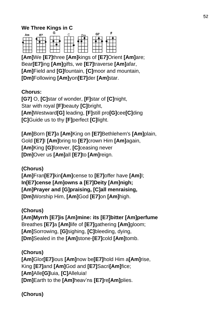#### **We Three Kings in C**



**[Am]**We **[E7]**three **[Am]**kings of **[E7]**Orient **[Am]**are; Bear**[E7]**ing **[Am]**gifts, we **[E7]**traverse **[Am]**afar, **[Am]**Field and **[G]**fountain, **[C]**moor and mountain, **[Dm]**Following **[Am]**yon**[E7]**der **[Am]**star.

#### **Chorus:**

**[G7]** O, **[C]**star of wonder, **[F]**star of **[C]**night, Star with royal **[F]**beauty **[C]**bright, **[Am]**Westward**[G]** leading, **[F]**still pro**[G]**cee**[C]**ding **[C]**Guide us to thy **[F]**perfect **[C]**light.

**[Am]**Born **[E7]**a **[Am]**King on **[E7]**Bethlehem's **[Am]**plain, Gold **[E7]**I **[Am]**bring to **[E7]**crown Him **[Am]**again, **[Am]**King **[G]**forever, **[C]**ceasing never **[Dm]**Over us **[Am]**all **[E7]**to **[Am]**reign.

**(Chorus) [Am]**Fran**[E7]**kin**[Am]**cense to **[E7]**offer have **[Am]**I; **In[E7]cense [Am]owns a [E7]Deity [Am]nigh; [Am]Prayer and [G]praising, [C]all menraising, [Dm]**Worship Him, **[Am]**God **[E7]**on **[Am]**high.

#### **(Chorus)**

**[Am]Myrrh [E7]is [Am]mine: its [E7]bitter [Am]perfume**  Breathes **[E7]**a **[Am]**life of **[E7]**gathering **[Am]**gloom; **[Am]**Sorrowing, **[G]**sighing, **[C]**bleeding, dying, **[Dm]**Sealed in the **[Am]**stone-**[E7]**cold **[Am]**tomb.

#### **(Chorus)**

**[Am]**Glor**[E7]**ious **[Am]**now be**[E7]**hold Him a**[Am]**rise, King **[E7]**and **[Am]**God and **[E7]**Sacri**[Am]**fice; **[Am]**Alle**[G]**luia, **[C]**Alleluia! **[Dm]**Earth to the **[Am]**heav'ns **[E7]**re**[Am]**plies.

**(Chorus)**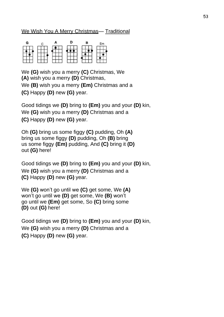#### We Wish You A Merry Christmas— Traditional

| G             |                |     |             |                   | ⋍         |
|---------------|----------------|-----|-------------|-------------------|-----------|
|               |                |     |             |                   |           |
|               |                |     |             |                   |           |
| ---<br>$\sim$ | ---<br>--<br>ᆢ | - 7 | 75<br>- - - | <b>COLL</b><br>75 | --<br>--- |

We **(G)** wish you a merry **(C)** Christmas, We **(A)** wish you a merry **(D)** Christmas, We **(B)** wish you a merry **(Em)** Christmas and a **(C)** Happy **(D)** new **(G)** year.

Good tidings we **(D)** bring to **(Em)** you and your **(D)** kin, We **(G)** wish you a merry **(D)** Christmas and a **(C)** Happy **(D)** new **(G)** year.

Oh **(G)** bring us some figgy **(C)** pudding, Oh **(A)**  bring us some figgy **(D)** pudding, Oh **(B)** bring us some figgy **(Em)** pudding, And **(C)** bring it **(D)**  out **(G)** here!

Good tidings we **(D)** bring to **(Em)** you and your **(D)** kin, We **(G)** wish you a merry **(D)** Christmas and a **(C)** Happy **(D)** new **(G)** year.

We **(G)** won't go until we **(C)** get some, We **(A)**  won't go until we **(D)** get some, We **(B)** won't go until we **(Em)** get some, So **(C)** bring some **(D)** out **(G)** here!

Good tidings we **(D)** bring to **(Em)** you and your **(D)** kin, We **(G)** wish you a merry **(D)** Christmas and a **(C)** Happy **(D)** new **(G)** year.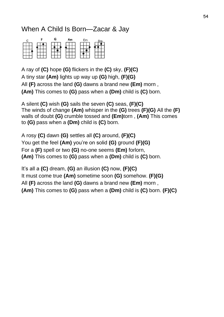# When A Child Is Born—Zacar & Jay



A ray of **(C)** hope **(G)** flickers in the **(C)** sky, **(F)(C)** A tiny star **(Am)** lights up way up **(G)** high, **(F)(G)** All **(F)** across the land **(G)** dawns a brand new **(Em)** morn , **(Am)** This comes to **(G)** pass when a **(Dm)** child is **(C)** born.

A silent **(C)** wish **(G)** sails the seven **(C)** seas, **(F)(C)** The winds of change **(Am)** whisper in the **(G)** trees **(F)(G)** All the **(F)**  walls of doubt **(G)** crumble tossed and **(Em)**torn , **(Am)** This comes to **(G)** pass when a **(Dm)** child is **(C)** born.

A rosy **(C)** dawn **(G)** settles all **(C)** around, **(F)(C)** You get the feel **(Am)** you're on solid **(G)** ground **(F)(G)** For a **(F)** spell or two **(G)** no-one seems **(Em)** forlorn, **(Am)** This comes to **(G)** pass when a **(Dm)** child is **(C)** born.

It's all a **(C)** dream, **(G)** an illusion **(C)** now, **(F)(C)** It must come true **(Am)** sometime soon **(G)** somehow. **(F)(G)** All **(F)** across the land **(G)** dawns a brand new **(Em)** morn , **(Am)** This comes to **(G)** pass when a **(Dm)** child is **(C)** born. **(F)(C)**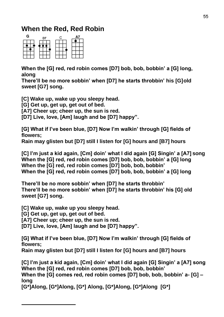# **When the Red, Red Robin**



**When the [G] red, red robin comes [D7] bob, bob, bobbin' a [G] long, along**

**There'll be no more sobbin' when [D7] he starts throbbin' his [G]old sweet [G7] song.**

**[C] Wake up, wake up you sleepy head.**

**[G] Get up, get up, get out of bed.**

**[A7] Cheer up; cheer up, the sun is red.**

**[D7] Live, love, [Am] laugh and be [D7] happy".**

**[G] What if I've been blue, [D7] Now I'm walkin' through [G] fields of flowers;**

**Rain may glisten but [D7] still I listen for [G] hours and [B7] hours**

**[C] I'm just a kid again, [Cm] doin' what I did again [G] Singin' a [A7] song When the [G] red, red robin comes [D7] bob, bob, bobbin' a [G] long When the [G] red, red robin comes [D7] bob, bob, bobbin' When the [G] red, red robin comes [D7] bob, bob, bobbin' a [G] long**

**There'll be no more sobbin' when [D7] he starts throbbin' There'll be no more sobbin' when [D7] he starts throbbin' his [G] old sweet [G7] song.**

**[C] Wake up, wake up you sleepy head.**

**[G] Get up, get up, get out of bed.**

**[A7] Cheer up; cheer up, the sun is red.**

**[D7] Live, love, [Am] laugh and be [D7] happy".**

**[G] What if I've been blue, [D7] Now I'm walkin' through [G] fields of flowers;**

**Rain may glisten but [D7] still I listen for [G] hours and [B7] hours**

**[C] I'm just a kid again, [Cm] doin' what I did again [G] Singin' a [A7] song When the [G] red, red robin comes [D7] bob, bob, bobbin'**

**When the [G] comes red, red robin comes [D7] bob, bob, bobbin' a- [G] – long**

**[G\*]Along, [G\*]Along, [G\*] Along, [G\*]Along, [G\*]Along [G\*]**